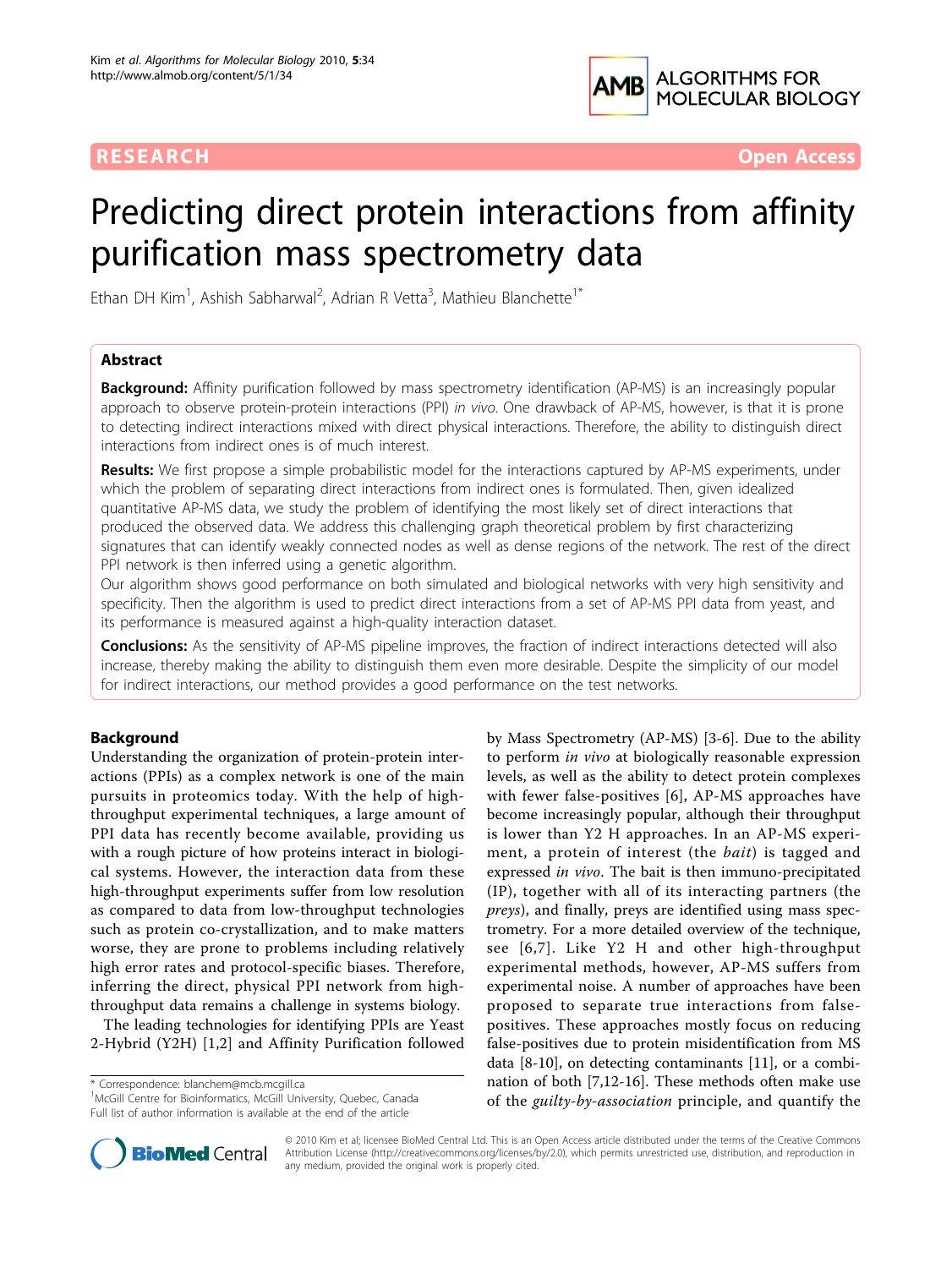

RESEARCH **CONTROLLER CONTROLLER CONTROLLER CONTROLLER CONTROLLER CONTROLLER CONTROLLER CONTROLLER CONTROLLER CONTROLLER CONTROLLER CONTROLLER CONTROLLER CONTROLLER CONTROLLER CONTROLLER CONTROLLER CONTROLLER CONTROLLER CON** 

# Predicting direct protein interactions from affinity purification mass spectrometry data

Ethan DH Kim<sup>1</sup>, Ashish Sabharwal<sup>2</sup>, Adrian R Vetta<sup>3</sup>, Mathieu Blanchette<sup>1\*</sup>

# Abstract

**Background:** Affinity purification followed by mass spectrometry identification (AP-MS) is an increasingly popular approach to observe protein-protein interactions (PPI) in vivo. One drawback of AP-MS, however, is that it is prone to detecting indirect interactions mixed with direct physical interactions. Therefore, the ability to distinguish direct interactions from indirect ones is of much interest.

Results: We first propose a simple probabilistic model for the interactions captured by AP-MS experiments, under which the problem of separating direct interactions from indirect ones is formulated. Then, given idealized quantitative AP-MS data, we study the problem of identifying the most likely set of direct interactions that produced the observed data. We address this challenging graph theoretical problem by first characterizing signatures that can identify weakly connected nodes as well as dense regions of the network. The rest of the direct PPI network is then inferred using a genetic algorithm.

Our algorithm shows good performance on both simulated and biological networks with very high sensitivity and specificity. Then the algorithm is used to predict direct interactions from a set of AP-MS PPI data from yeast, and its performance is measured against a high-quality interaction dataset.

**Conclusions:** As the sensitivity of AP-MS pipeline improves, the fraction of indirect interactions detected will also increase, thereby making the ability to distinguish them even more desirable. Despite the simplicity of our model for indirect interactions, our method provides a good performance on the test networks.

# Background

Understanding the organization of protein-protein interactions (PPIs) as a complex network is one of the main pursuits in proteomics today. With the help of highthroughput experimental techniques, a large amount of PPI data has recently become available, providing us with a rough picture of how proteins interact in biological systems. However, the interaction data from these high-throughput experiments suffer from low resolution as compared to data from low-throughput technologies such as protein co-crystallization, and to make matters worse, they are prone to problems including relatively high error rates and protocol-specific biases. Therefore, inferring the direct, physical PPI network from highthroughput data remains a challenge in systems biology.

The leading technologies for identifying PPIs are Yeast 2-Hybrid (Y2H) [[1,2](#page-15-0)] and Affinity Purification followed

\* Correspondence: [blanchem@mcb.mcgill.ca](mailto:blanchem@mcb.mcgill.ca)

<sup>1</sup>McGill Centre for Bioinformatics, McGill University, Quebec, Canada Full list of author information is available at the end of the article





© 2010 Kim et al; licensee BioMed Central Ltd. This is an Open Access article distributed under the terms of the Creative Commons Attribution License [\(http://creativecommons.org/licenses/by/2.0](http://creativecommons.org/licenses/by/2.0)), which permits unrestricted use, distribution, and reproduction in any medium, provided the original work is properly cited.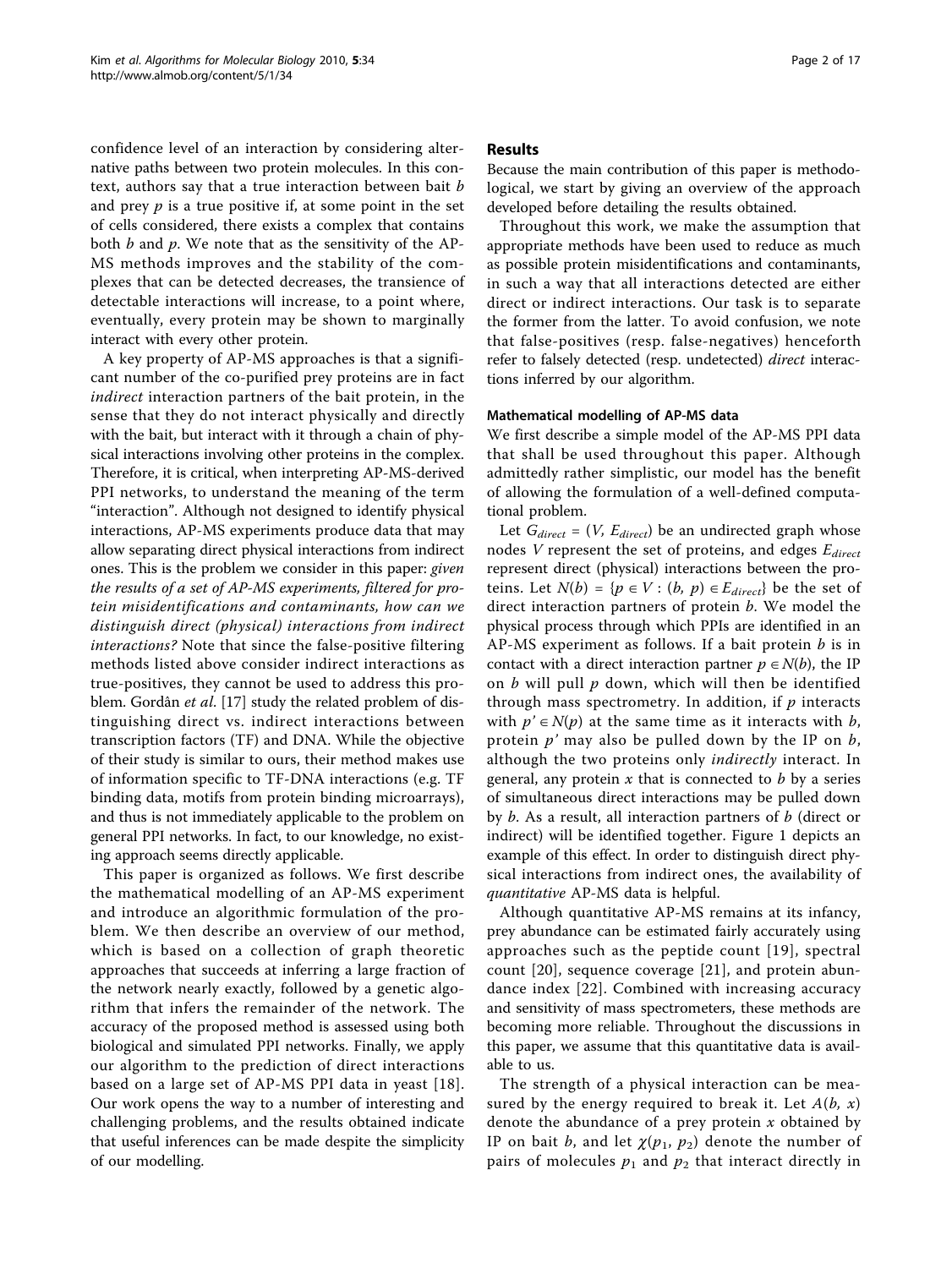confidence level of an interaction by considering alternative paths between two protein molecules. In this context, authors say that a true interaction between bait b and prey  $p$  is a true positive if, at some point in the set of cells considered, there exists a complex that contains both  $b$  and  $p$ . We note that as the sensitivity of the AP-MS methods improves and the stability of the complexes that can be detected decreases, the transience of detectable interactions will increase, to a point where, eventually, every protein may be shown to marginally interact with every other protein.

A key property of AP-MS approaches is that a significant number of the co-purified prey proteins are in fact indirect interaction partners of the bait protein, in the sense that they do not interact physically and directly with the bait, but interact with it through a chain of physical interactions involving other proteins in the complex. Therefore, it is critical, when interpreting AP-MS-derived PPI networks, to understand the meaning of the term "interaction". Although not designed to identify physical interactions, AP-MS experiments produce data that may allow separating direct physical interactions from indirect ones. This is the problem we consider in this paper: given the results of a set of AP-MS experiments, filtered for protein misidentifications and contaminants, how can we distinguish direct (physical) interactions from indirect interactions? Note that since the false-positive filtering methods listed above consider indirect interactions as true-positives, they cannot be used to address this pro-blem. Gordân et al. [[17](#page-15-0)] study the related problem of distinguishing direct vs. indirect interactions between transcription factors (TF) and DNA. While the objective of their study is similar to ours, their method makes use of information specific to TF-DNA interactions (e.g. TF binding data, motifs from protein binding microarrays), and thus is not immediately applicable to the problem on general PPI networks. In fact, to our knowledge, no existing approach seems directly applicable.

This paper is organized as follows. We first describe the mathematical modelling of an AP-MS experiment and introduce an algorithmic formulation of the problem. We then describe an overview of our method, which is based on a collection of graph theoretic approaches that succeeds at inferring a large fraction of the network nearly exactly, followed by a genetic algorithm that infers the remainder of the network. The accuracy of the proposed method is assessed using both biological and simulated PPI networks. Finally, we apply our algorithm to the prediction of direct interactions based on a large set of AP-MS PPI data in yeast [[18\]](#page-15-0). Our work opens the way to a number of interesting and challenging problems, and the results obtained indicate that useful inferences can be made despite the simplicity of our modelling.

# Results

Because the main contribution of this paper is methodological, we start by giving an overview of the approach developed before detailing the results obtained.

Throughout this work, we make the assumption that appropriate methods have been used to reduce as much as possible protein misidentifications and contaminants, in such a way that all interactions detected are either direct or indirect interactions. Our task is to separate the former from the latter. To avoid confusion, we note that false-positives (resp. false-negatives) henceforth refer to falsely detected (resp. undetected) direct interactions inferred by our algorithm.

#### Mathematical modelling of AP-MS data

We first describe a simple model of the AP-MS PPI data that shall be used throughout this paper. Although admittedly rather simplistic, our model has the benefit of allowing the formulation of a well-defined computational problem.

Let  $G_{direct} = (V, E_{direct})$  be an undirected graph whose nodes V represent the set of proteins, and edges  $E_{direct}$ represent direct (physical) interactions between the proteins. Let  $N(b) = {p \in V : (b, p) \in E_{direct}}$  be the set of direct interaction partners of protein b. We model the physical process through which PPIs are identified in an AP-MS experiment as follows. If a bait protein  $b$  is in contact with a direct interaction partner  $p \in N(b)$ , the IP on  $b$  will pull  $p$  down, which will then be identified through mass spectrometry. In addition, if  $p$  interacts with  $p' \in N(p)$  at the same time as it interacts with b, protein  $p'$  may also be pulled down by the IP on  $b$ , although the two proteins only *indirectly* interact. In general, any protein  $x$  that is connected to  $b$  by a series of simultaneous direct interactions may be pulled down by  $b$ . As a result, all interaction partners of  $b$  (direct or indirect) will be identified together. Figure [1](#page-2-0) depicts an example of this effect. In order to distinguish direct physical interactions from indirect ones, the availability of quantitative AP-MS data is helpful.

Although quantitative AP-MS remains at its infancy, prey abundance can be estimated fairly accurately using approaches such as the peptide count [[19](#page-15-0)], spectral count [[20](#page-15-0)], sequence coverage [\[21\]](#page-15-0), and protein abundance index [[22](#page-15-0)]. Combined with increasing accuracy and sensitivity of mass spectrometers, these methods are becoming more reliable. Throughout the discussions in this paper, we assume that this quantitative data is available to us.

The strength of a physical interaction can be measured by the energy required to break it. Let  $A(b, x)$ denote the abundance of a prey protein  $x$  obtained by IP on bait b, and let  $\chi(p_1, p_2)$  denote the number of pairs of molecules  $p_1$  and  $p_2$  that interact directly in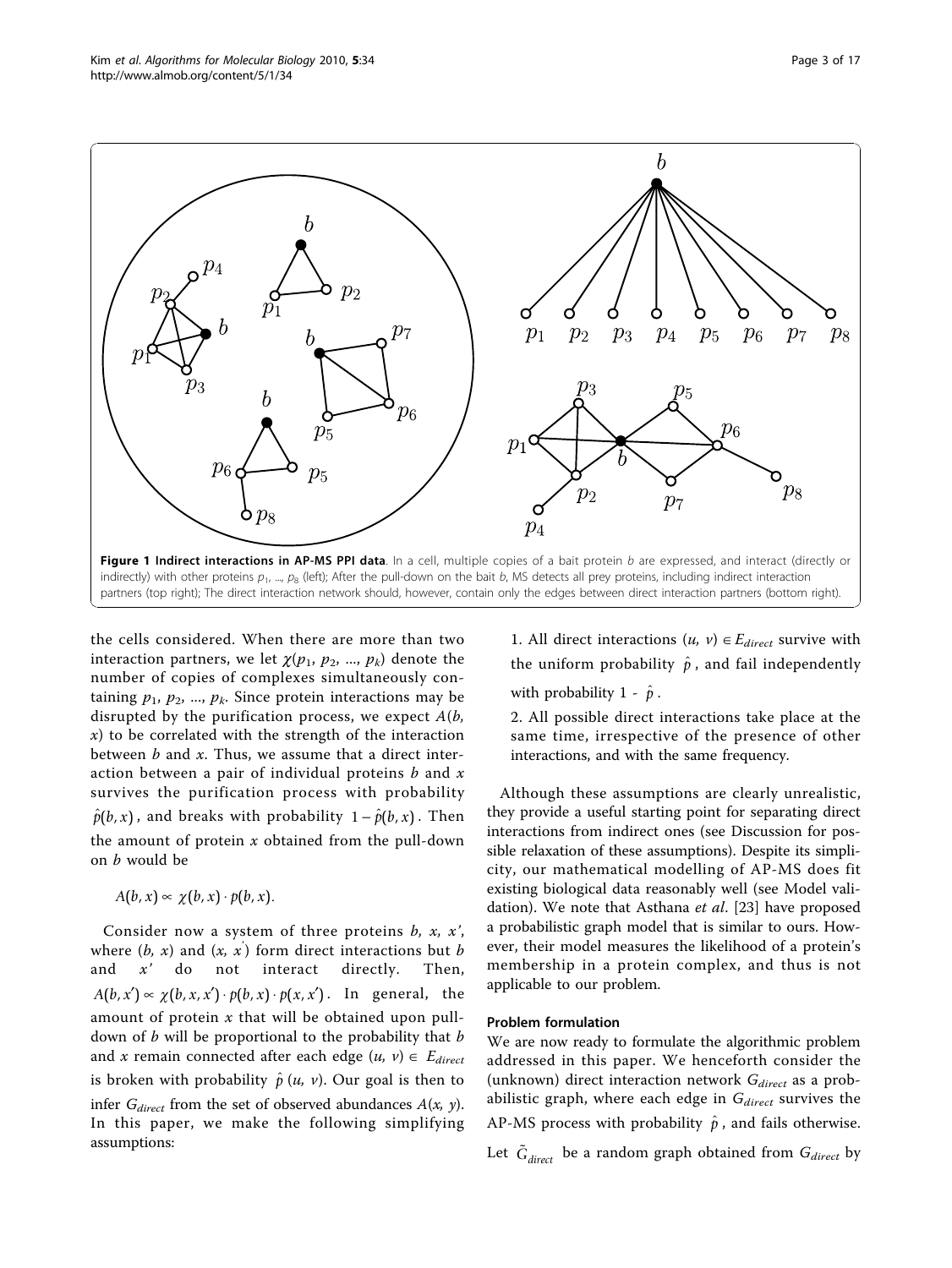<span id="page-2-0"></span>

the cells considered. When there are more than two interaction partners, we let  $\chi(p_1, p_2, ..., p_k)$  denote the number of copies of complexes simultaneously containing  $p_1$ ,  $p_2$ , ...,  $p_k$ . Since protein interactions may be disrupted by the purification process, we expect  $A(b)$ ,  $x$ ) to be correlated with the strength of the interaction between  $b$  and  $x$ . Thus, we assume that a direct interaction between a pair of individual proteins  $b$  and  $x$ survives the purification process with probability  $\hat{p}(b, x)$ , and breaks with probability  $1 - \hat{p}(b, x)$ . Then the amount of protein  $x$  obtained from the pull-down on b would be

$$
A(b,x) \propto \chi(b,x) \cdot p(b,x).
$$

Consider now a system of three proteins  $b, x, x'$ , where  $(b, x)$  and  $(x, x')$  form direct interactions but b and  $x'$  do not interact directly. Then,  $A(b, x') \propto \chi(b, x, x') \cdot p(b, x) \cdot p(x, x')$ . In general, the amount of protein  $x$  that will be obtained upon pulldown of  $b$  will be proportional to the probability that  $b$ and x remain connected after each edge  $(u, v) \in E_{direct}$ is broken with probability  $\hat{p}(u, v)$ . Our goal is then to infer  $G_{direct}$  from the set of observed abundances  $A(x, y)$ . In this paper, we make the following simplifying assumptions:

1. All direct interactions  $(u, v) \in E_{direct}$  survive with the uniform probability  $\hat{p}$ , and fail independently with probability  $1 - \hat{p}$ .

2. All possible direct interactions take place at the same time, irrespective of the presence of other interactions, and with the same frequency.

Although these assumptions are clearly unrealistic, they provide a useful starting point for separating direct interactions from indirect ones (see Discussion for possible relaxation of these assumptions). Despite its simplicity, our mathematical modelling of AP-MS does fit existing biological data reasonably well (see Model vali-dation). We note that Asthana et al. [\[23](#page-15-0)] have proposed a probabilistic graph model that is similar to ours. However, their model measures the likelihood of a protein's membership in a protein complex, and thus is not applicable to our problem.

## Problem formulation

We are now ready to formulate the algorithmic problem addressed in this paper. We henceforth consider the (unknown) direct interaction network  $G_{direct}$  as a probabilistic graph, where each edge in  $G_{direct}$  survives the AP-MS process with probability  $\hat{p}$ , and fails otherwise.

Let  $\tilde{G}_{\text{direct}}$  be a random graph obtained from  $G_{\text{direct}}$  by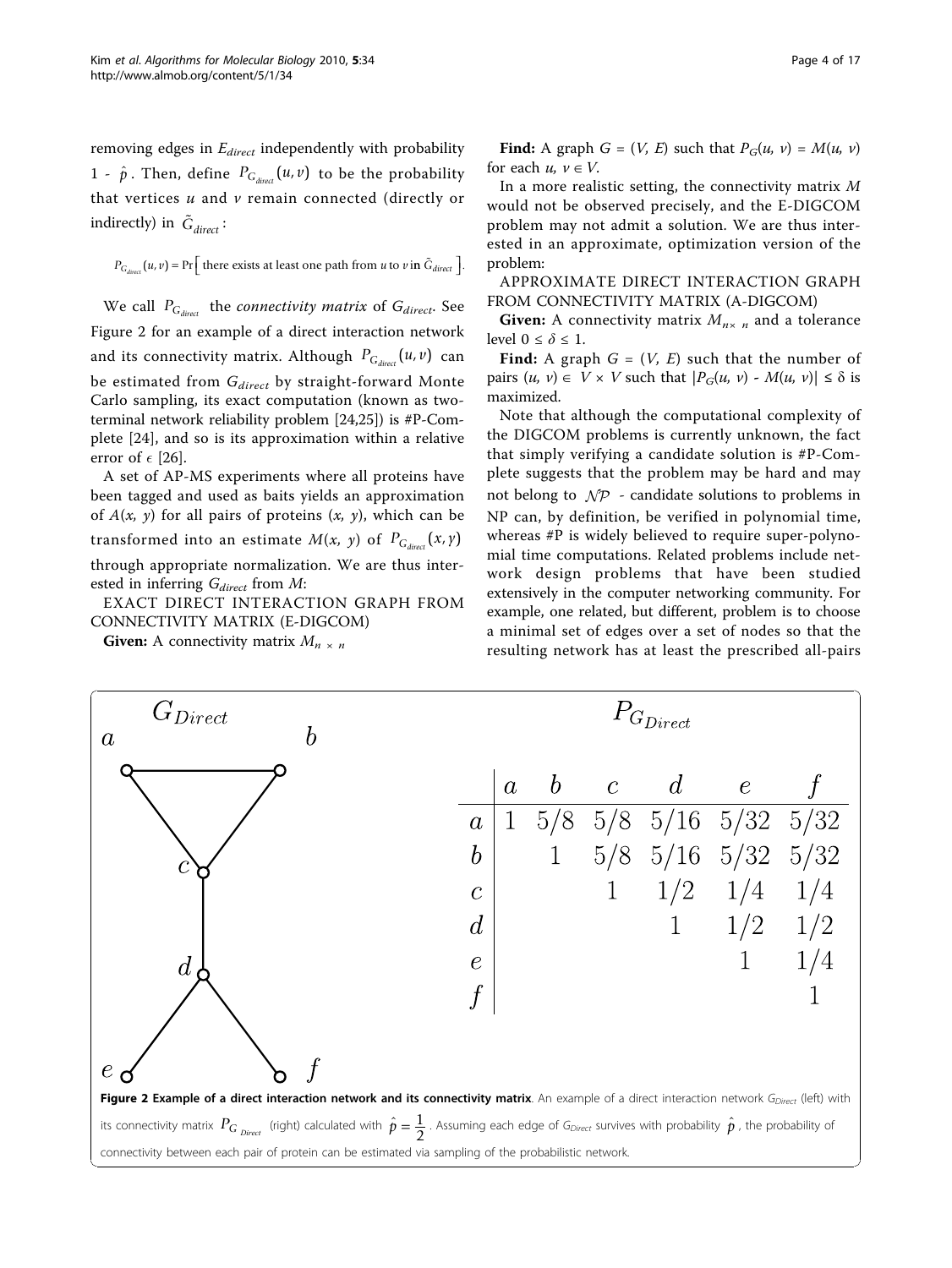<span id="page-3-0"></span>removing edges in  $E_{direct}$  independently with probability 1 -  $\hat{p}$ . Then, define  $P_{G_{direct}}(u,v)$  to be the probability that vertices  $u$  and  $v$  remain connected (directly or indirectly) in *G direct* :

$$
P_{G_{\text{direct}}}(u, v) = \Pr\Big[\text{ there exists at least one path from } u \text{ to } v \text{ in } \tilde{G}_{\text{direct}}\Big].
$$

We call  $P_{G_{direct}}$  the *connectivity matrix* of  $G_{direct}$ . See Figure 2 for an example of a direct interaction network and its connectivity matrix. Although  $P_{G_{direct}}(u,v)$  can be estimated from  $G_{direct}$  by straight-forward Monte Carlo sampling, its exact computation (known as twoterminal network reliability problem [\[24,25](#page-15-0)]) is #P-Complete [[24\]](#page-15-0), and so is its approximation within a relative error of  $\epsilon$  [[26\]](#page-15-0).

A set of AP-MS experiments where all proteins have been tagged and used as baits yields an approximation of  $A(x, y)$  for all pairs of proteins  $(x, y)$ , which can be transformed into an estimate  $M(x, y)$  of  $P_{G_{direct}}(x, y)$ through appropriate normalization. We are thus interested in inferring  $G_{direct}$  from M:

EXACT DIRECT INTERACTION GRAPH FROM CONNECTIVITY MATRIX (E-DIGCOM)

**Given:** A connectivity matrix  $M_{n \times n}$ 

**Find:** A graph  $G = (V, E)$  such that  $P_G(u, v) = M(u, v)$ for each  $u, v \in V$ .

In a more realistic setting, the connectivity matrix  $M$ would not be observed precisely, and the E-DIGCOM problem may not admit a solution. We are thus interested in an approximate, optimization version of the problem:

APPROXIMATE DIRECT INTERACTION GRAPH FROM CONNECTIVITY MATRIX (A-DIGCOM)

**Given:** A connectivity matrix  $M_{n \times n}$  and a tolerance level  $0 \le \delta \le 1$ .

**Find:** A graph  $G = (V, E)$  such that the number of pairs  $(u, v) \in V \times V$  such that  $|P_G(u, v) - M(u, v)| \le \delta$  is maximized.

Note that although the computational complexity of the DIGCOM problems is currently unknown, the fact that simply verifying a candidate solution is #P-Complete suggests that the problem may be hard and may not belong to  $\mathcal{NP}$  - candidate solutions to problems in NP can, by definition, be verified in polynomial time, whereas #P is widely believed to require super-polynomial time computations. Related problems include network design problems that have been studied extensively in the computer networking community. For example, one related, but different, problem is to choose a minimal set of edges over a set of nodes so that the resulting network has at least the prescribed all-pairs

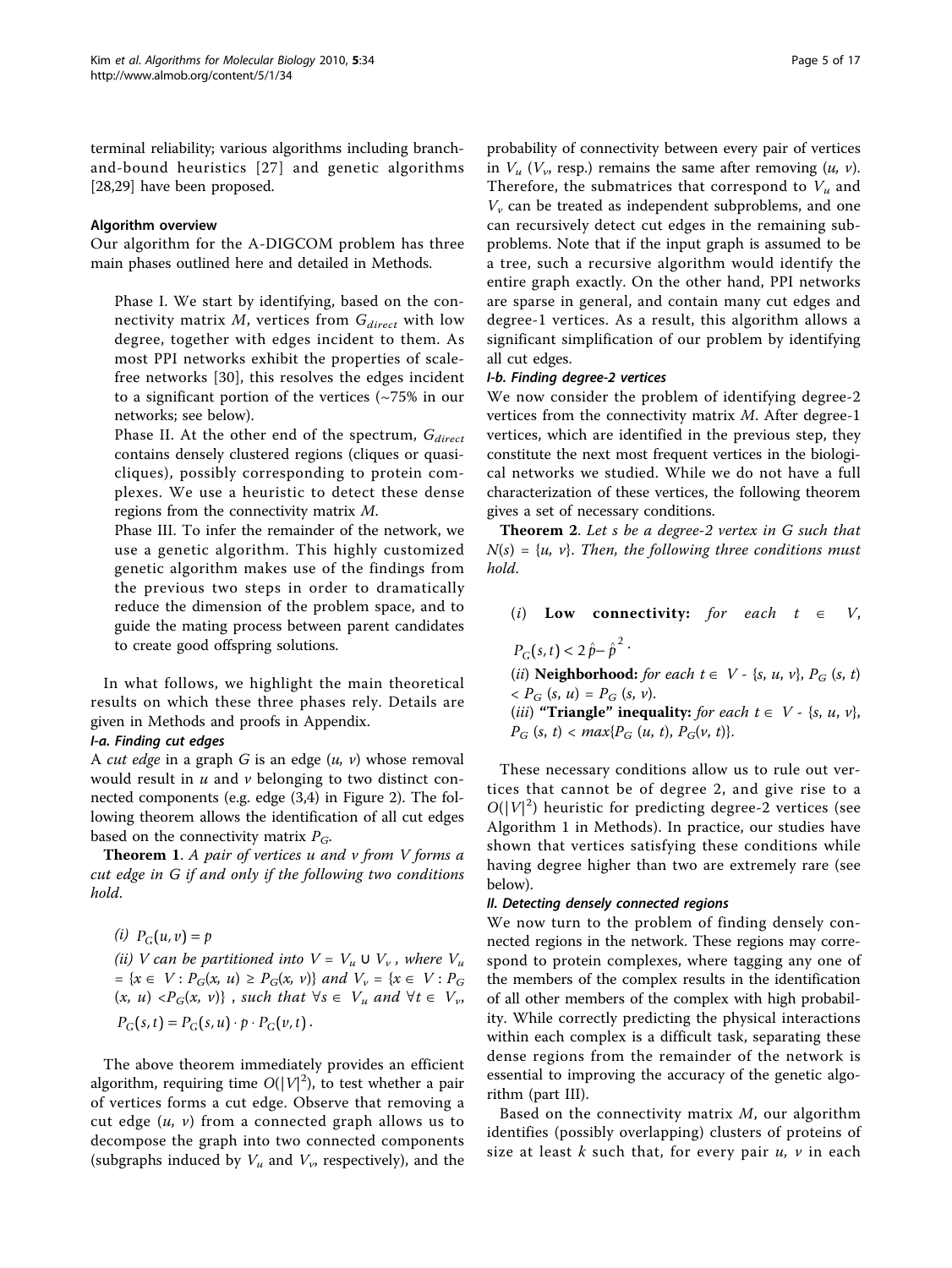terminal reliability; various algorithms including branchand-bound heuristics [[27](#page-15-0)] and genetic algorithms [[28,29\]](#page-15-0) have been proposed.

## Algorithm overview

Our algorithm for the A-DIGCOM problem has three main phases outlined here and detailed in Methods.

Phase I. We start by identifying, based on the connectivity matrix  $M$ , vertices from  $G_{direct}$  with low degree, together with edges incident to them. As most PPI networks exhibit the properties of scalefree networks [[30\]](#page-15-0), this resolves the edges incident to a significant portion of the vertices (~75% in our networks; see below).

Phase II. At the other end of the spectrum,  $G_{direct}$ contains densely clustered regions (cliques or quasicliques), possibly corresponding to protein complexes. We use a heuristic to detect these dense regions from the connectivity matrix M.

Phase III. To infer the remainder of the network, we use a genetic algorithm. This highly customized genetic algorithm makes use of the findings from the previous two steps in order to dramatically reduce the dimension of the problem space, and to guide the mating process between parent candidates to create good offspring solutions.

In what follows, we highlight the main theoretical results on which these three phases rely. Details are given in Methods and proofs in Appendix.

# I-a. Finding cut edges

A *cut edge* in a graph G is an edge  $(u, v)$  whose removal would result in  $u$  and  $v$  belonging to two distinct connected components (e.g. edge (3,4) in Figure [2](#page-3-0)). The following theorem allows the identification of all cut edges based on the connectivity matrix  $P_G$ .

Theorem 1. A pair of vertices  $u$  and  $v$  from  $V$  forms a cut edge in G if and only if the following two conditions hold.

(*i*)  $P_G(u,v) = p$ (ii) V can be partitioned into  $V = V_u \cup V_v$ , where  $V_u$  $= \{x \in V : P_G(x, u) \ge P_G(x, v)\}\$ and  $V_v = \{x \in V : P_G(x, u)\}$  $(x, u) < P_G(x, v)$ , such that  $\forall s \in V_u$  and  $\forall t \in V_v$ ,  $P_G(s,t) = P_G(s,u) \cdot p \cdot P_G(v,t)$ .

The above theorem immediately provides an efficient algorithm, requiring time  $O(|V|^2)$ , to test whether a pair of vertices forms a cut edge. Observe that removing a cut edge  $(u, v)$  from a connected graph allows us to decompose the graph into two connected components (subgraphs induced by  $V_u$  and  $V_v$ , respectively), and the

probability of connectivity between every pair of vertices in  $V_u$  ( $V_v$ , resp.) remains the same after removing  $(u, v)$ . Therefore, the submatrices that correspond to  $V_u$  and  $V<sub>v</sub>$  can be treated as independent subproblems, and one can recursively detect cut edges in the remaining subproblems. Note that if the input graph is assumed to be a tree, such a recursive algorithm would identify the entire graph exactly. On the other hand, PPI networks are sparse in general, and contain many cut edges and degree-1 vertices. As a result, this algorithm allows a significant simplification of our problem by identifying all cut edges.

## I-b. Finding degree-2 vertices

We now consider the problem of identifying degree-2 vertices from the connectivity matrix M. After degree-1 vertices, which are identified in the previous step, they constitute the next most frequent vertices in the biological networks we studied. While we do not have a full characterization of these vertices, the following theorem gives a set of necessary conditions.

Theorem 2. Let s be a degree-2 vertex in G such that  $N(s) = {u, v}.$  Then, the following three conditions must hold.

(i) Low connectivity: for each  $t \in V$ ,

$$
P_G(s,t) < 2\,\hat{p} - \hat{p}^2
$$

(ii) Neighborhood: for each  $t \in V$  - {s, u, v},  $P_G$  (s, t)  $\langle P_G (s, u) = P_G (s, v) \rangle$ 

(iii) "Triangle" inequality: for each  $t \in V$  - {s, u, v},  $P_G$  (s, t) < max{ $P_G$  (u, t),  $P_G(v, t)$ }.

These necessary conditions allow us to rule out vertices that cannot be of degree 2, and give rise to a  $O(|V|^2)$  heuristic for predicting degree-2 vertices (see Algorithm 1 in Methods). In practice, our studies have shown that vertices satisfying these conditions while having degree higher than two are extremely rare (see below).

# II. Detecting densely connected regions

We now turn to the problem of finding densely connected regions in the network. These regions may correspond to protein complexes, where tagging any one of the members of the complex results in the identification of all other members of the complex with high probability. While correctly predicting the physical interactions within each complex is a difficult task, separating these dense regions from the remainder of the network is essential to improving the accuracy of the genetic algorithm (part III).

Based on the connectivity matrix  $M$ , our algorithm identifies (possibly overlapping) clusters of proteins of size at least  $k$  such that, for every pair  $u$ ,  $v$  in each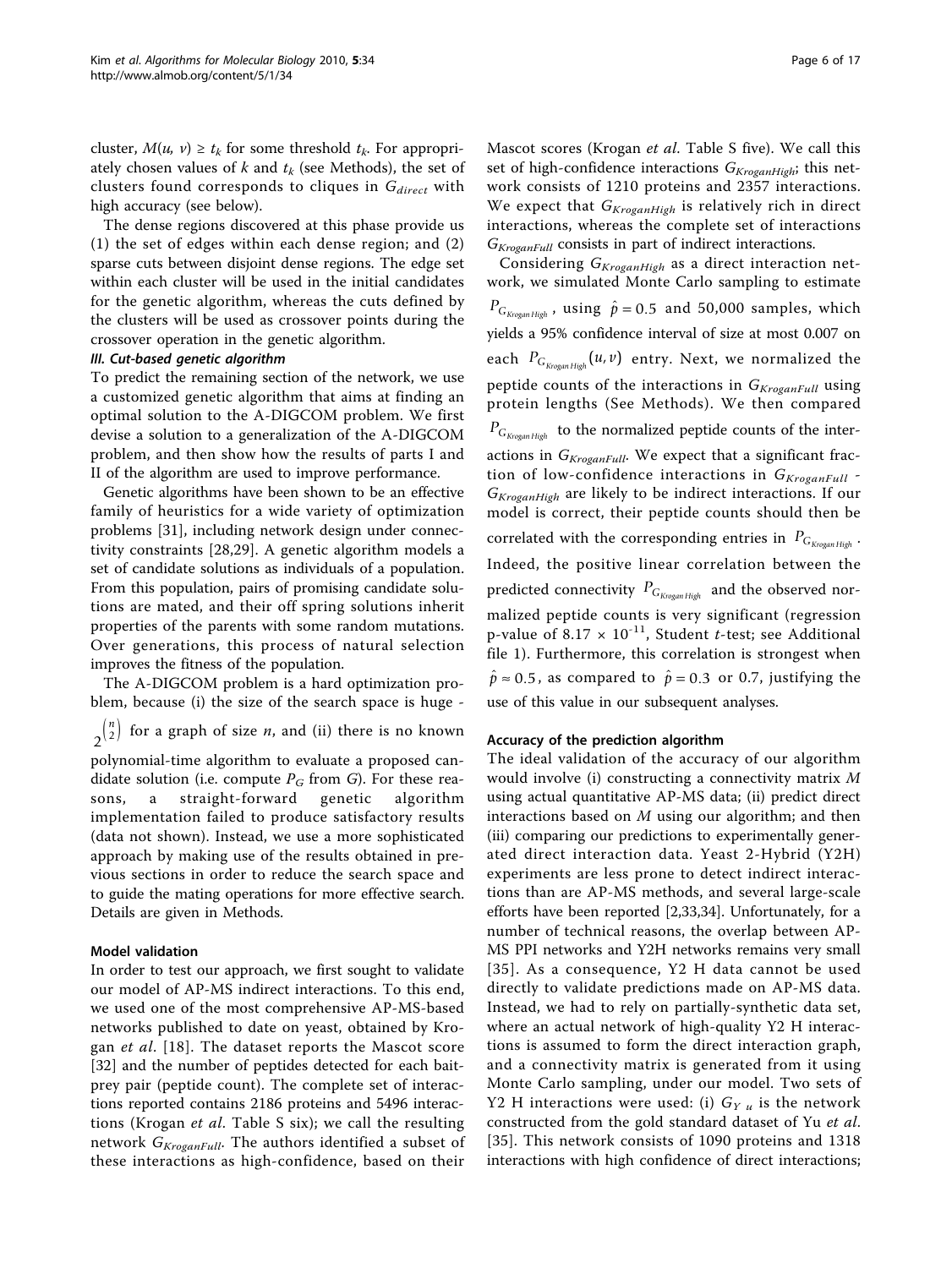cluster,  $M(u, v) \ge t_k$  for some threshold  $t_k$ . For appropriately chosen values of k and  $t_k$  (see Methods), the set of clusters found corresponds to cliques in  $G_{direct}$  with high accuracy (see below).

The dense regions discovered at this phase provide us (1) the set of edges within each dense region; and (2) sparse cuts between disjoint dense regions. The edge set within each cluster will be used in the initial candidates for the genetic algorithm, whereas the cuts defined by the clusters will be used as crossover points during the crossover operation in the genetic algorithm.

#### III. Cut-based genetic algorithm

To predict the remaining section of the network, we use a customized genetic algorithm that aims at finding an optimal solution to the A-DIGCOM problem. We first devise a solution to a generalization of the A-DIGCOM problem, and then show how the results of parts I and II of the algorithm are used to improve performance.

Genetic algorithms have been shown to be an effective family of heuristics for a wide variety of optimization problems [[31\]](#page-15-0), including network design under connectivity constraints [[28,29](#page-15-0)]. A genetic algorithm models a set of candidate solutions as individuals of a population. From this population, pairs of promising candidate solutions are mated, and their off spring solutions inherit properties of the parents with some random mutations. Over generations, this process of natural selection improves the fitness of the population.

The A-DIGCOM problem is a hard optimization problem, because (i) the size of the search space is huge -

 $2^{n \choose 2}$  for a graph of size *n*, and (ii) there is no known

polynomial-time algorithm to evaluate a proposed candidate solution (i.e. compute  $P_G$  from G). For these reasons, a straight-forward genetic algorithm implementation failed to produce satisfactory results (data not shown). Instead, we use a more sophisticated approach by making use of the results obtained in previous sections in order to reduce the search space and to guide the mating operations for more effective search. Details are given in Methods.

## Model validation

In order to test our approach, we first sought to validate our model of AP-MS indirect interactions. To this end, we used one of the most comprehensive AP-MS-based networks published to date on yeast, obtained by Krogan et al. [\[18\]](#page-15-0). The dataset reports the Mascot score [[32\]](#page-15-0) and the number of peptides detected for each baitprey pair (peptide count). The complete set of interactions reported contains 2186 proteins and 5496 interactions (Krogan et al. Table S six); we call the resulting network  $G_{KroganFull}$ . The authors identified a subset of these interactions as high-confidence, based on their

Mascot scores (Krogan et al. Table S five). We call this set of high-confidence interactions  $G_{KroganHigh}$ ; this network consists of 1210 proteins and 2357 interactions. We expect that  $G_{KroganHigh}$  is relatively rich in direct interactions, whereas the complete set of interactions  $G_{KroganFull}$  consists in part of indirect interactions.

Considering  $G_{KroganHigh}$  as a direct interaction network, we simulated Monte Carlo sampling to estimate  $P_{G_{Krogam High}}$ , using  $\hat{p} = 0.5$  and 50,000 samples, which yields a 95% confidence interval of size at most 0.007 on each  $P_{G_{Krogan High}}(u,v)$  entry. Next, we normalized the peptide counts of the interactions in  $G_{KroganFull}$  using protein lengths (See Methods). We then compared  $P_{G_{Krogan High}}$  to the normalized peptide counts of the interactions in  $G_{KroganFull}$ . We expect that a significant fraction of low-confidence interactions in  $G_{KroganFull}$  - $G_{KroganHigh}$  are likely to be indirect interactions. If our model is correct, their peptide counts should then be correlated with the corresponding entries in  $P_{G_{Krocan Hich}}$ . Indeed, the positive linear correlation between the predicted connectivity  $P_{G_{Krogen High}}$  and the observed normalized peptide counts is very significant (regression p-value of  $8.17 \times 10^{-11}$ , Student *t*-test; see Additional file [1](#page-14-0)). Furthermore, this correlation is strongest when  $\hat{p} \approx 0.5$ , as compared to  $\hat{p} = 0.3$  or 0.7, justifying the use of this value in our subsequent analyses.

#### Accuracy of the prediction algorithm

The ideal validation of the accuracy of our algorithm would involve (i) constructing a connectivity matrix M using actual quantitative AP-MS data; (ii) predict direct interactions based on M using our algorithm; and then (iii) comparing our predictions to experimentally generated direct interaction data. Yeast 2-Hybrid (Y2H) experiments are less prone to detect indirect interactions than are AP-MS methods, and several large-scale efforts have been reported [[2](#page-15-0),[33](#page-15-0),[34](#page-15-0)]. Unfortunately, for a number of technical reasons, the overlap between AP-MS PPI networks and Y2H networks remains very small [[35](#page-15-0)]. As a consequence, Y2 H data cannot be used directly to validate predictions made on AP-MS data. Instead, we had to rely on partially-synthetic data set, where an actual network of high-quality Y2 H interactions is assumed to form the direct interaction graph, and a connectivity matrix is generated from it using Monte Carlo sampling, under our model. Two sets of Y2 H interactions were used: (i)  $G_{Y,u}$  is the network constructed from the gold standard dataset of Yu et al. [[35](#page-15-0)]. This network consists of 1090 proteins and 1318 interactions with high confidence of direct interactions;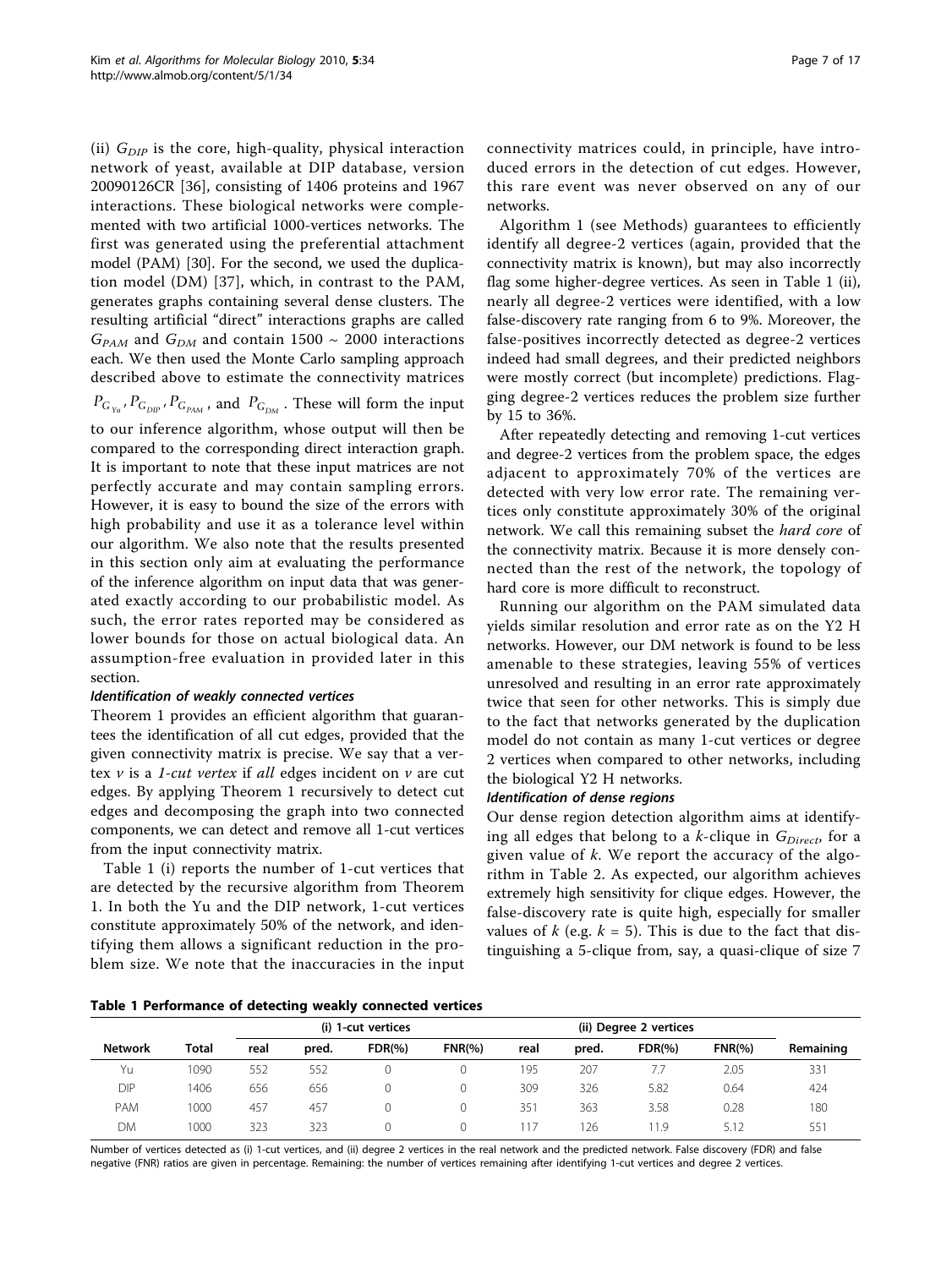(ii)  $G_{DIP}$  is the core, high-quality, physical interaction network of yeast, available at DIP database, version 20090126CR [[36](#page-16-0)], consisting of 1406 proteins and 1967 interactions. These biological networks were complemented with two artificial 1000-vertices networks. The first was generated using the preferential attachment model (PAM) [[30](#page-15-0)]. For the second, we used the duplication model (DM) [[37](#page-16-0)], which, in contrast to the PAM, generates graphs containing several dense clusters. The resulting artificial "direct" interactions graphs are called  $G_{PAM}$  and  $G_{DM}$  and contain 1500 ~ 2000 interactions each. We then used the Monte Carlo sampling approach described above to estimate the connectivity matrices

 $P_{G_{Yu}}$ ,  $P_{G_{DIP}}$ ,  $P_{G_{PAM}}$ , and  $P_{G_{DM}}$ . These will form the input

to our inference algorithm, whose output will then be compared to the corresponding direct interaction graph. It is important to note that these input matrices are not perfectly accurate and may contain sampling errors. However, it is easy to bound the size of the errors with high probability and use it as a tolerance level within our algorithm. We also note that the results presented in this section only aim at evaluating the performance of the inference algorithm on input data that was generated exactly according to our probabilistic model. As such, the error rates reported may be considered as lower bounds for those on actual biological data. An assumption-free evaluation in provided later in this section.

# Identification of weakly connected vertices

Theorem 1 provides an efficient algorithm that guarantees the identification of all cut edges, provided that the given connectivity matrix is precise. We say that a vertex  $\nu$  is a *1-cut vertex* if *all* edges incident on  $\nu$  are cut edges. By applying Theorem 1 recursively to detect cut edges and decomposing the graph into two connected components, we can detect and remove all 1-cut vertices from the input connectivity matrix.

Table 1 (i) reports the number of 1-cut vertices that are detected by the recursive algorithm from Theorem 1. In both the Yu and the DIP network, 1-cut vertices constitute approximately 50% of the network, and identifying them allows a significant reduction in the problem size. We note that the inaccuracies in the input connectivity matrices could, in principle, have introduced errors in the detection of cut edges. However, this rare event was never observed on any of our networks.

Algorithm 1 (see Methods) guarantees to efficiently identify all degree-2 vertices (again, provided that the connectivity matrix is known), but may also incorrectly flag some higher-degree vertices. As seen in Table 1 (ii), nearly all degree-2 vertices were identified, with a low false-discovery rate ranging from 6 to 9%. Moreover, the false-positives incorrectly detected as degree-2 vertices indeed had small degrees, and their predicted neighbors were mostly correct (but incomplete) predictions. Flagging degree-2 vertices reduces the problem size further by 15 to 36%.

After repeatedly detecting and removing 1-cut vertices and degree-2 vertices from the problem space, the edges adjacent to approximately 70% of the vertices are detected with very low error rate. The remaining vertices only constitute approximately 30% of the original network. We call this remaining subset the hard core of the connectivity matrix. Because it is more densely connected than the rest of the network, the topology of hard core is more difficult to reconstruct.

Running our algorithm on the PAM simulated data yields similar resolution and error rate as on the Y2 H networks. However, our DM network is found to be less amenable to these strategies, leaving 55% of vertices unresolved and resulting in an error rate approximately twice that seen for other networks. This is simply due to the fact that networks generated by the duplication model do not contain as many 1-cut vertices or degree 2 vertices when compared to other networks, including the biological Y2 H networks.

# Identification of dense regions

Our dense region detection algorithm aims at identifying all edges that belong to a  $k$ -clique in  $G_{Direct}$ , for a given value of  $k$ . We report the accuracy of the algorithm in Table [2.](#page-7-0) As expected, our algorithm achieves extremely high sensitivity for clique edges. However, the false-discovery rate is quite high, especially for smaller values of k (e.g.  $k = 5$ ). This is due to the fact that distinguishing a 5-clique from, say, a quasi-clique of size 7

Table 1 Performance of detecting weakly connected vertices

|                |              | (i) 1-cut vertices |       |            |            |      |       |            |            |           |
|----------------|--------------|--------------------|-------|------------|------------|------|-------|------------|------------|-----------|
| <b>Network</b> | <b>Total</b> | real               | pred. | $FDR(\% )$ | $FNR(\% )$ | real | pred. | $FDR(\% )$ | $FNR(\% )$ | Remaining |
| Yu             | 1090         | 552                | 552   |            | 0          | 195  | 207   |            | 2.05       | 331       |
| <b>DIP</b>     | 1406         | 656                | 656   |            | 0          | 309  | 326   | 5.82       | 0.64       | 424       |
| PAM            | 1000         | 457                | 457   |            | 0          | 351  | 363   | 3.58       | 0.28       | 180       |
| DM             | 1000         | 323                | 323   |            | $\Omega$   |      | 126   | 11.9       | 5.12       | 551       |

Number of vertices detected as (i) 1-cut vertices, and (ii) degree 2 vertices in the real network and the predicted network. False discovery (FDR) and false negative (FNR) ratios are given in percentage. Remaining: the number of vertices remaining after identifying 1-cut vertices and degree 2 vertices.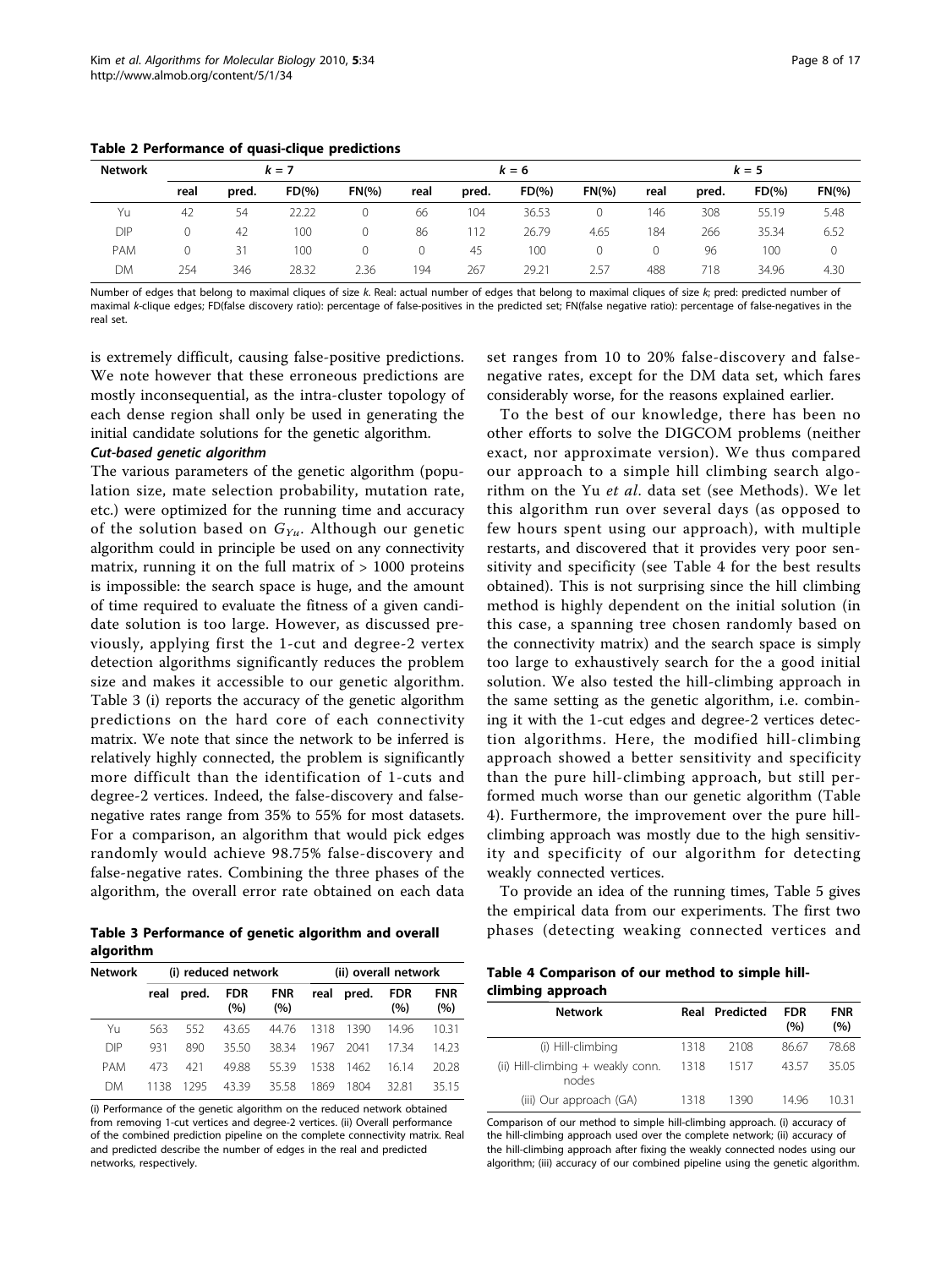| <b>Network</b> |      |       | $k = 7$   |           | $k = 6$ |       |           |      | $k=5$ |       |           |      |
|----------------|------|-------|-----------|-----------|---------|-------|-----------|------|-------|-------|-----------|------|
|                | real | pred. | $FD(\% )$ | $FN(\% )$ | real    | pred. | $FD(\% )$ | FN(% | real  | pred. | $FD(\% )$ | FN(% |
| Yu             | 42   | 54    | 22.22     |           | 66      | 104   | 36.53     |      | 146   | 308   | 55.19     | 5.48 |
| DIP            |      | 42    | 100       |           | 86      | 12    | 26.79     | 4.65 | 184   | 266   | 35.34     | 6.52 |
| <b>PAM</b>     |      | 21    | 100       |           | 0       | 45    | 100       |      |       | 96    | 100       | 0    |
| DΜ             | 254  | 346   | 28.32     | 2.36      | 194     | 267   | 29.21     | 2.57 | 488   | 718   | 34.96     | 4.30 |

<span id="page-7-0"></span>Table 2 Performance of quasi-clique predictions

Number of edges that belong to maximal cliques of size k. Real: actual number of edges that belong to maximal cliques of size k; pred: predicted number of maximal k-clique edges; FD(false discovery ratio): percentage of false-positives in the predicted set; FN(false negative ratio): percentage of false-negatives in the real set.

is extremely difficult, causing false-positive predictions. We note however that these erroneous predictions are mostly inconsequential, as the intra-cluster topology of each dense region shall only be used in generating the initial candidate solutions for the genetic algorithm.

#### Cut-based genetic algorithm

The various parameters of the genetic algorithm (population size, mate selection probability, mutation rate, etc.) were optimized for the running time and accuracy of the solution based on  $G_{Yu}$ . Although our genetic algorithm could in principle be used on any connectivity matrix, running it on the full matrix of  $> 1000$  proteins is impossible: the search space is huge, and the amount of time required to evaluate the fitness of a given candidate solution is too large. However, as discussed previously, applying first the 1-cut and degree-2 vertex detection algorithms significantly reduces the problem size and makes it accessible to our genetic algorithm. Table 3 (i) reports the accuracy of the genetic algorithm predictions on the hard core of each connectivity matrix. We note that since the network to be inferred is relatively highly connected, the problem is significantly more difficult than the identification of 1-cuts and degree-2 vertices. Indeed, the false-discovery and falsenegative rates range from 35% to 55% for most datasets. For a comparison, an algorithm that would pick edges randomly would achieve 98.75% false-discovery and false-negative rates. Combining the three phases of the algorithm, the overall error rate obtained on each data

Table 3 Performance of genetic algorithm and overall algorithm

| <b>Network</b> |      |       | (i) reduced network |                     | (ii) overall network |       |                   |                   |  |
|----------------|------|-------|---------------------|---------------------|----------------------|-------|-------------------|-------------------|--|
|                | real | pred. | <b>FDR</b><br>(%)   | <b>FNR</b><br>(9/6) | real                 | pred. | <b>FDR</b><br>(%) | <b>FNR</b><br>(%) |  |
| Yu             | 563  | 552   | 43.65               | 44 76               | 1318                 | 1390  | 14.96             | 10.31             |  |
| <b>DIP</b>     | 931  | 890   | 3550                | 38.34               | 1967                 | 2041  | 1734              | 14.23             |  |
| PAM            | 473  | 421   | 49.88               | 5539                | 1538                 | 1462  | 1614              | 20.28             |  |
| DМ             | 1138 | 1295  | 43.39               | 3558                | 1869                 | 1804  | 32.81             | 3515              |  |
|                |      |       |                     |                     |                      |       |                   |                   |  |

(i) Performance of the genetic algorithm on the reduced network obtained from removing 1-cut vertices and degree-2 vertices. (ii) Overall performance of the combined prediction pipeline on the complete connectivity matrix. Real and predicted describe the number of edges in the real and predicted networks, respectively.

set ranges from 10 to 20% false-discovery and falsenegative rates, except for the DM data set, which fares considerably worse, for the reasons explained earlier.

To the best of our knowledge, there has been no other efforts to solve the DIGCOM problems (neither exact, nor approximate version). We thus compared our approach to a simple hill climbing search algorithm on the Yu et al. data set (see Methods). We let this algorithm run over several days (as opposed to few hours spent using our approach), with multiple restarts, and discovered that it provides very poor sensitivity and specificity (see Table 4 for the best results obtained). This is not surprising since the hill climbing method is highly dependent on the initial solution (in this case, a spanning tree chosen randomly based on the connectivity matrix) and the search space is simply too large to exhaustively search for the a good initial solution. We also tested the hill-climbing approach in the same setting as the genetic algorithm, i.e. combining it with the 1-cut edges and degree-2 vertices detection algorithms. Here, the modified hill-climbing approach showed a better sensitivity and specificity than the pure hill-climbing approach, but still performed much worse than our genetic algorithm (Table 4). Furthermore, the improvement over the pure hillclimbing approach was mostly due to the high sensitivity and specificity of our algorithm for detecting weakly connected vertices.

To provide an idea of the running times, Table [5](#page-8-0) gives the empirical data from our experiments. The first two phases (detecting weaking connected vertices and

Table 4 Comparison of our method to simple hillclimbing approach

| Network                                    |      | Real Predicted | FDR<br>(%) | <b>FNR</b><br>(%) |
|--------------------------------------------|------|----------------|------------|-------------------|
| (i) Hill-climbing                          | 1318 | 2108           | 86.67      | 78.68             |
| (ii) Hill-climbing + weakly conn.<br>nodes | 1318 | 1517           | 43.57      | 35.05             |
| (iii) Our approach (GA)                    | 1318 | 1390           | 14 96      | 1031              |

Comparison of our method to simple hill-climbing approach. (i) accuracy of the hill-climbing approach used over the complete network; (ii) accuracy of the hill-climbing approach after fixing the weakly connected nodes using our algorithm; (iii) accuracy of our combined pipeline using the genetic algorithm.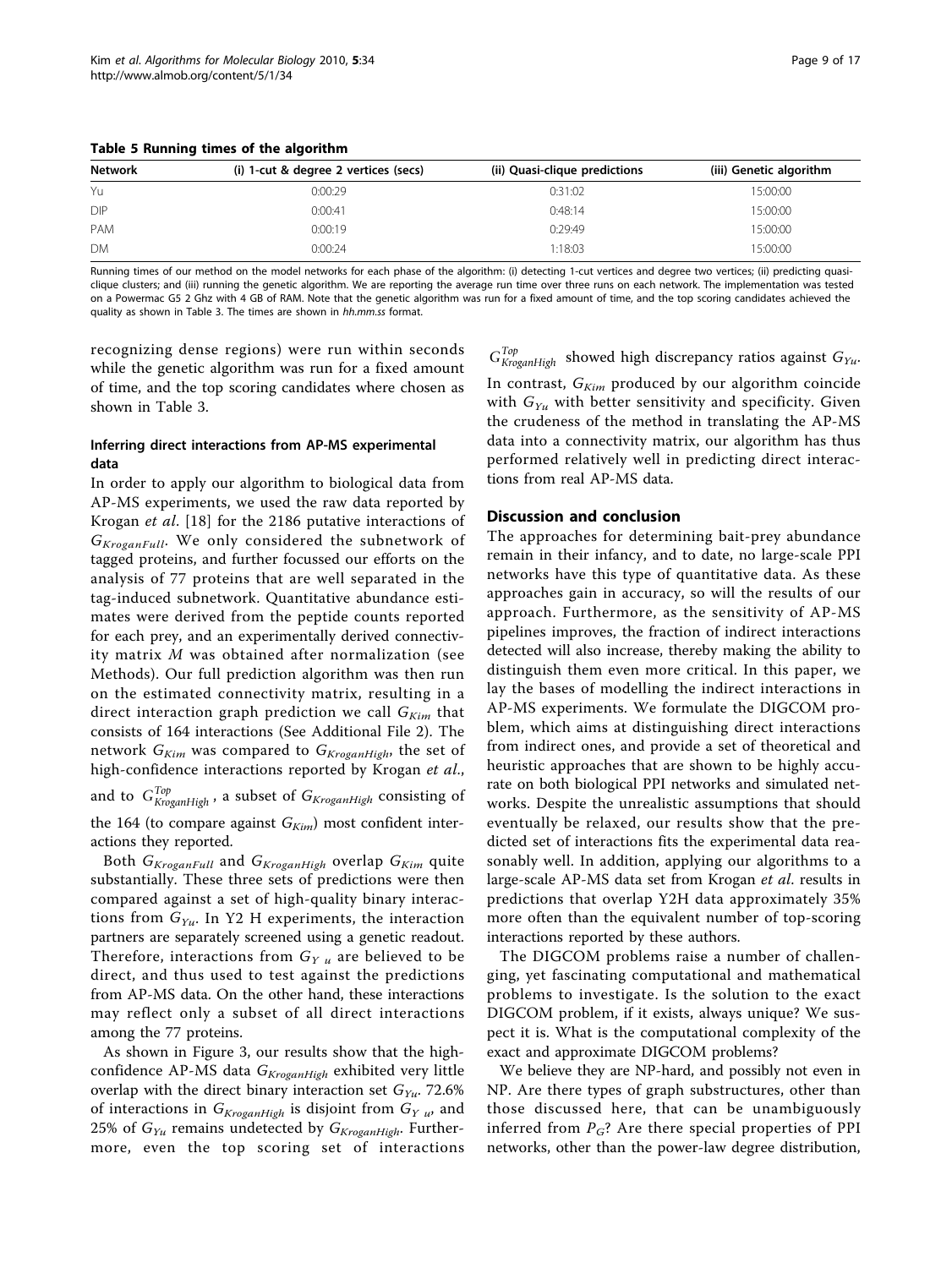<span id="page-8-0"></span>

| <b>Network</b> | (i) 1-cut & degree 2 vertices (secs) | (ii) Quasi-clique predictions | (iii) Genetic algorithm |
|----------------|--------------------------------------|-------------------------------|-------------------------|
| Yu             | 0:00:29                              | 0:31:02                       | 15:00:00                |
| <b>DIP</b>     | 0:00:41                              | 0:48:14                       | 15:00:00                |
| PAM            | 0:00:19                              | 0:29:49                       | 15:00:00                |
| <b>DM</b>      | 0:00:24                              | 1:18:03                       | 15:00:00                |

Running times of our method on the model networks for each phase of the algorithm: (i) detecting 1-cut vertices and degree two vertices; (ii) predicting quasiclique clusters; and (iii) running the genetic algorithm. We are reporting the average run time over three runs on each network. The implementation was tested on a Powermac G5 2 Ghz with 4 GB of RAM. Note that the genetic algorithm was run for a fixed amount of time, and the top scoring candidates achieved the quality as shown in Table 3. The times are shown in hh.mm.ss format.

recognizing dense regions) were run within seconds while the genetic algorithm was run for a fixed amount of time, and the top scoring candidates where chosen as shown in Table [3](#page-7-0).

# Inferring direct interactions from AP-MS experimental data

In order to apply our algorithm to biological data from AP-MS experiments, we used the raw data reported by Krogan et al. [[18](#page-15-0)] for the 2186 putative interactions of  $G_{KropanFull}$ . We only considered the subnetwork of tagged proteins, and further focussed our efforts on the analysis of 77 proteins that are well separated in the tag-induced subnetwork. Quantitative abundance estimates were derived from the peptide counts reported for each prey, and an experimentally derived connectivity matrix M was obtained after normalization (see Methods). Our full prediction algorithm was then run on the estimated connectivity matrix, resulting in a direct interaction graph prediction we call  $G_{Kim}$  that consists of 164 interactions (See Additional File [2](#page-14-0)). The network  $G_{Kim}$  was compared to  $G_{KroganHigh}$ , the set of high-confidence interactions reported by Krogan et al., and to  $\,G^{\,Top}_{KroganHigh}$  , a subset of  $G_{KroganHigh}$  consisting of the 164 (to compare against  $G_{Kim}$ ) most confident interactions they reported.

Both  $G_{KroganFull}$  and  $G_{KroganHigh}$  overlap  $G_{Kim}$  quite substantially. These three sets of predictions were then compared against a set of high-quality binary interactions from  $G_{Yu}$ . In Y2 H experiments, the interaction partners are separately screened using a genetic readout. Therefore, interactions from  $G_{Y,u}$  are believed to be direct, and thus used to test against the predictions from AP-MS data. On the other hand, these interactions may reflect only a subset of all direct interactions among the 77 proteins.

As shown in Figure [3,](#page-9-0) our results show that the highconfidence AP-MS data  $G_{KroganHigh}$  exhibited very little overlap with the direct binary interaction set  $G_{Yu}$ . 72.6% of interactions in  $G_{KroganHigh}$  is disjoint from  $G_{Y,\omega}$ , and 25% of  $G_{Yu}$  remains undetected by  $G_{KroganHigh}$ . Furthermore, even the top scoring set of interactions  $G_{KroganHigh}^{Top}$  showed high discrepancy ratios against  $G_{Yu}$ .

In contrast,  $G_{Kim}$  produced by our algorithm coincide with  $G_{Yu}$  with better sensitivity and specificity. Given the crudeness of the method in translating the AP-MS data into a connectivity matrix, our algorithm has thus performed relatively well in predicting direct interactions from real AP-MS data.

#### Discussion and conclusion

The approaches for determining bait-prey abundance remain in their infancy, and to date, no large-scale PPI networks have this type of quantitative data. As these approaches gain in accuracy, so will the results of our approach. Furthermore, as the sensitivity of AP-MS pipelines improves, the fraction of indirect interactions detected will also increase, thereby making the ability to distinguish them even more critical. In this paper, we lay the bases of modelling the indirect interactions in AP-MS experiments. We formulate the DIGCOM problem, which aims at distinguishing direct interactions from indirect ones, and provide a set of theoretical and heuristic approaches that are shown to be highly accurate on both biological PPI networks and simulated networks. Despite the unrealistic assumptions that should eventually be relaxed, our results show that the predicted set of interactions fits the experimental data reasonably well. In addition, applying our algorithms to a large-scale AP-MS data set from Krogan et al. results in predictions that overlap Y2H data approximately 35% more often than the equivalent number of top-scoring interactions reported by these authors.

The DIGCOM problems raise a number of challenging, yet fascinating computational and mathematical problems to investigate. Is the solution to the exact DIGCOM problem, if it exists, always unique? We suspect it is. What is the computational complexity of the exact and approximate DIGCOM problems?

We believe they are NP-hard, and possibly not even in NP. Are there types of graph substructures, other than those discussed here, that can be unambiguously inferred from  $P_G$ ? Are there special properties of PPI networks, other than the power-law degree distribution,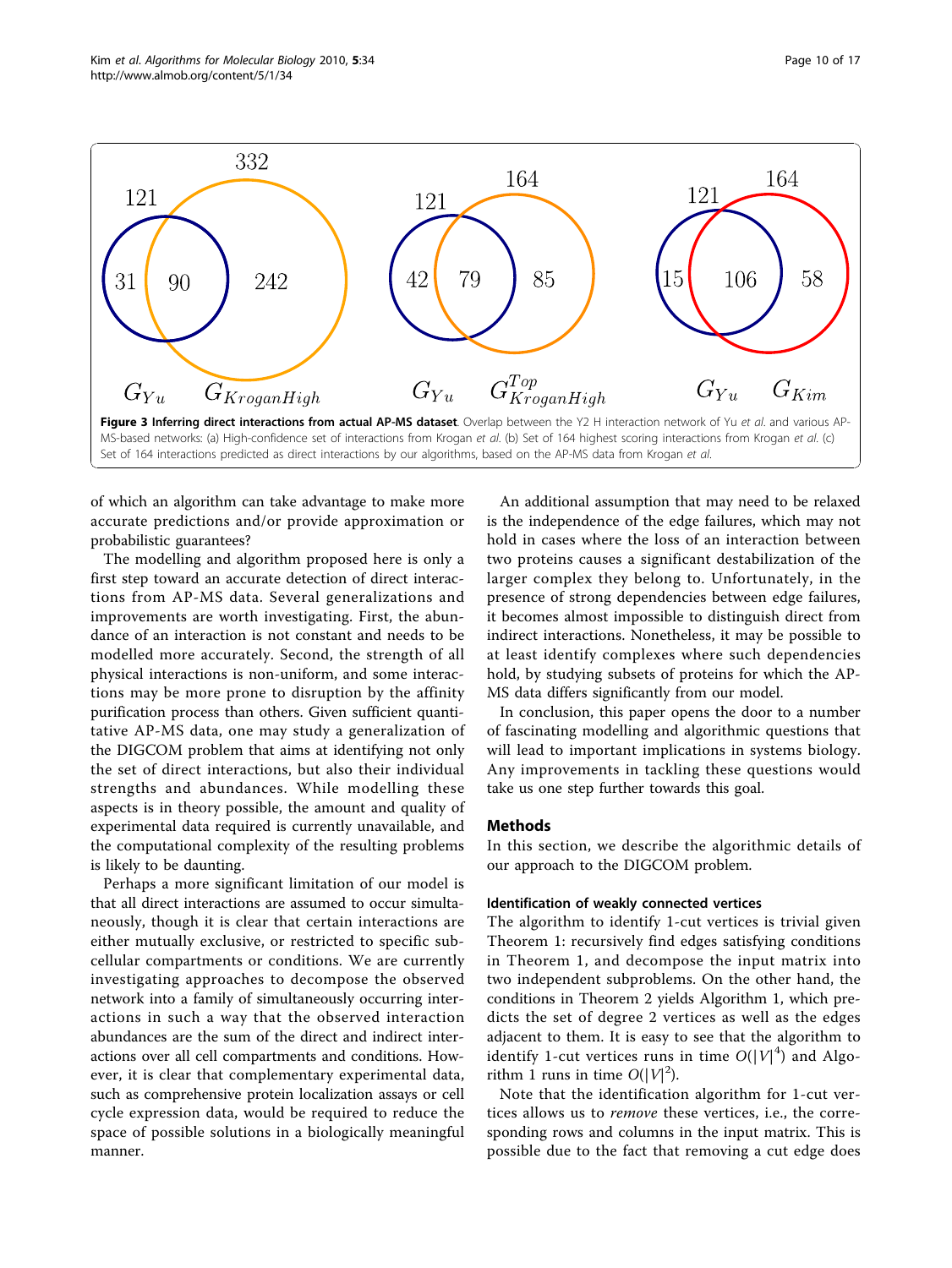<span id="page-9-0"></span>

of which an algorithm can take advantage to make more accurate predictions and/or provide approximation or probabilistic guarantees?

The modelling and algorithm proposed here is only a first step toward an accurate detection of direct interactions from AP-MS data. Several generalizations and improvements are worth investigating. First, the abundance of an interaction is not constant and needs to be modelled more accurately. Second, the strength of all physical interactions is non-uniform, and some interactions may be more prone to disruption by the affinity purification process than others. Given sufficient quantitative AP-MS data, one may study a generalization of the DIGCOM problem that aims at identifying not only the set of direct interactions, but also their individual strengths and abundances. While modelling these aspects is in theory possible, the amount and quality of experimental data required is currently unavailable, and the computational complexity of the resulting problems is likely to be daunting.

Perhaps a more significant limitation of our model is that all direct interactions are assumed to occur simultaneously, though it is clear that certain interactions are either mutually exclusive, or restricted to specific subcellular compartments or conditions. We are currently investigating approaches to decompose the observed network into a family of simultaneously occurring interactions in such a way that the observed interaction abundances are the sum of the direct and indirect interactions over all cell compartments and conditions. However, it is clear that complementary experimental data, such as comprehensive protein localization assays or cell cycle expression data, would be required to reduce the space of possible solutions in a biologically meaningful manner.

An additional assumption that may need to be relaxed is the independence of the edge failures, which may not hold in cases where the loss of an interaction between two proteins causes a significant destabilization of the larger complex they belong to. Unfortunately, in the presence of strong dependencies between edge failures, it becomes almost impossible to distinguish direct from indirect interactions. Nonetheless, it may be possible to at least identify complexes where such dependencies hold, by studying subsets of proteins for which the AP-MS data differs significantly from our model.

In conclusion, this paper opens the door to a number of fascinating modelling and algorithmic questions that will lead to important implications in systems biology. Any improvements in tackling these questions would take us one step further towards this goal.

## Methods

In this section, we describe the algorithmic details of our approach to the DIGCOM problem.

#### Identification of weakly connected vertices

The algorithm to identify 1-cut vertices is trivial given Theorem 1: recursively find edges satisfying conditions in Theorem 1, and decompose the input matrix into two independent subproblems. On the other hand, the conditions in Theorem 2 yields Algorithm 1, which predicts the set of degree 2 vertices as well as the edges adjacent to them. It is easy to see that the algorithm to identify 1-cut vertices runs in time  $O(|V|^4)$  and Algorithm 1 runs in time  $O(|V|^2)$ .

Note that the identification algorithm for 1-cut vertices allows us to remove these vertices, i.e., the corresponding rows and columns in the input matrix. This is possible due to the fact that removing a cut edge does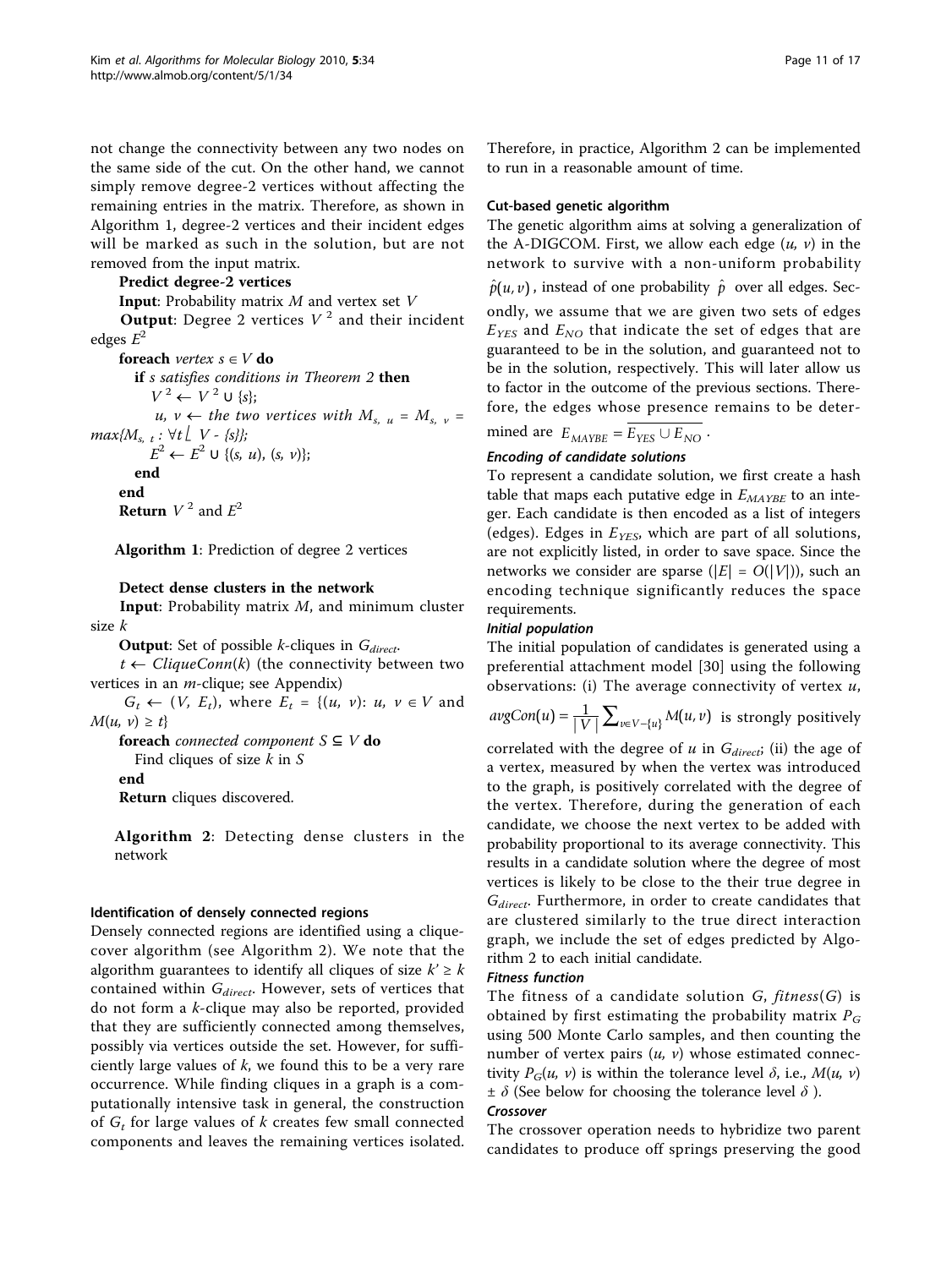not change the connectivity between any two nodes on the same side of the cut. On the other hand, we cannot simply remove degree-2 vertices without affecting the remaining entries in the matrix. Therefore, as shown in Algorithm 1, degree-2 vertices and their incident edges will be marked as such in the solution, but are not removed from the input matrix.

# Predict degree-2 vertices

**Input:** Probability matrix  $M$  and vertex set  $V$ 

**Output:** Degree 2 vertices  $V^2$  and their incident edges  $E^2$ 

foreach vertex  $s \in V$  do if s satisfies conditions in Theorem 2 then  $V^2 \leftarrow V^2 \cup \{s\};$  $u, v \leftarrow$  the two vertices with  $M_{s, u} = M_{s, v}$  $max{M_{s, t} : \forall t \mid V - \{s\}};$  $E^2 \leftarrow E^2 \cup \{(s, u), (s, v)\};$ end end **Return**  $V^2$  and  $E^2$ 

Algorithm 1: Prediction of degree 2 vertices

# Detect dense clusters in the network

**Input:** Probability matrix  $M$ , and minimum cluster size k

**Output:** Set of possible  $k$ -cliques in  $G_{direct}$ .

 $t \leftarrow CliqueConn(k)$  (the connectivity between two vertices in an  $m$ -clique; see Appendix)

 $G_t \leftarrow (V, E_t)$ , where  $E_t = \{(u, v): u, v \in V \text{ and }$  $M(u, v) \geq t$ 

foreach connected component  $S \subseteq V$  do Find cliques of size  $k$  in S

end

Return cliques discovered.

Algorithm 2: Detecting dense clusters in the network

#### Identification of densely connected regions

Densely connected regions are identified using a cliquecover algorithm (see Algorithm 2). We note that the algorithm guarantees to identify all cliques of size  $k' \geq k$ contained within  $G_{direct}$ . However, sets of vertices that do not form a k-clique may also be reported, provided that they are sufficiently connected among themselves, possibly via vertices outside the set. However, for sufficiently large values of  $k$ , we found this to be a very rare occurrence. While finding cliques in a graph is a computationally intensive task in general, the construction of  $G_t$  for large values of k creates few small connected components and leaves the remaining vertices isolated. Therefore, in practice, Algorithm 2 can be implemented to run in a reasonable amount of time.

#### Cut-based genetic algorithm

The genetic algorithm aims at solving a generalization of the A-DIGCOM. First, we allow each edge  $(u, v)$  in the network to survive with a non-uniform probability  $\hat{p}(u, v)$ , instead of one probability  $\hat{p}$  over all edges. Secondly, we assume that we are given two sets of edges  $E_{YES}$  and  $E_{NO}$  that indicate the set of edges that are guaranteed to be in the solution, and guaranteed not to be in the solution, respectively. This will later allow us to factor in the outcome of the previous sections. Therefore, the edges whose presence remains to be deter-

mined are 
$$
E_{\text{MAYBE}} = E_{\text{YES}} \cup E_{\text{NO}}
$$
.

## Encoding of candidate solutions

To represent a candidate solution, we first create a hash table that maps each putative edge in  $E_{MAXBE}$  to an integer. Each candidate is then encoded as a list of integers (edges). Edges in  $E_{YES}$ , which are part of all solutions, are not explicitly listed, in order to save space. Since the networks we consider are sparse ( $|E| = O(|V|)$ ), such an encoding technique significantly reduces the space requirements.

### Initial population

The initial population of candidates is generated using a preferential attachment model [\[30](#page-15-0)] using the following observations: (i) The average connectivity of vertex  $u$ ,

 $avgCon(u) = \frac{1}{|V|} \sum_{v \in V - \{u\}} M(u, v)$  is strongly positively correlated with the degree of  $u$  in  $G<sub>direct</sub>$  (ii) the age of a vertex, measured by when the vertex was introduced to the graph, is positively correlated with the degree of the vertex. Therefore, during the generation of each candidate, we choose the next vertex to be added with probability proportional to its average connectivity. This results in a candidate solution where the degree of most vertices is likely to be close to the their true degree in  $G<sub>direct</sub>$ . Furthermore, in order to create candidates that are clustered similarly to the true direct interaction graph, we include the set of edges predicted by Algorithm 2 to each initial candidate.

#### Fitness function

The fitness of a candidate solution  $G$ , fitness( $G$ ) is obtained by first estimating the probability matrix  $P_G$ using 500 Monte Carlo samples, and then counting the number of vertex pairs  $(u, v)$  whose estimated connectivity  $P_G(u, v)$  is within the tolerance level  $\delta$ , i.e.,  $M(u, v)$  $\pm \delta$  (See below for choosing the tolerance level  $\delta$ ).

#### Crossover

The crossover operation needs to hybridize two parent candidates to produce off springs preserving the good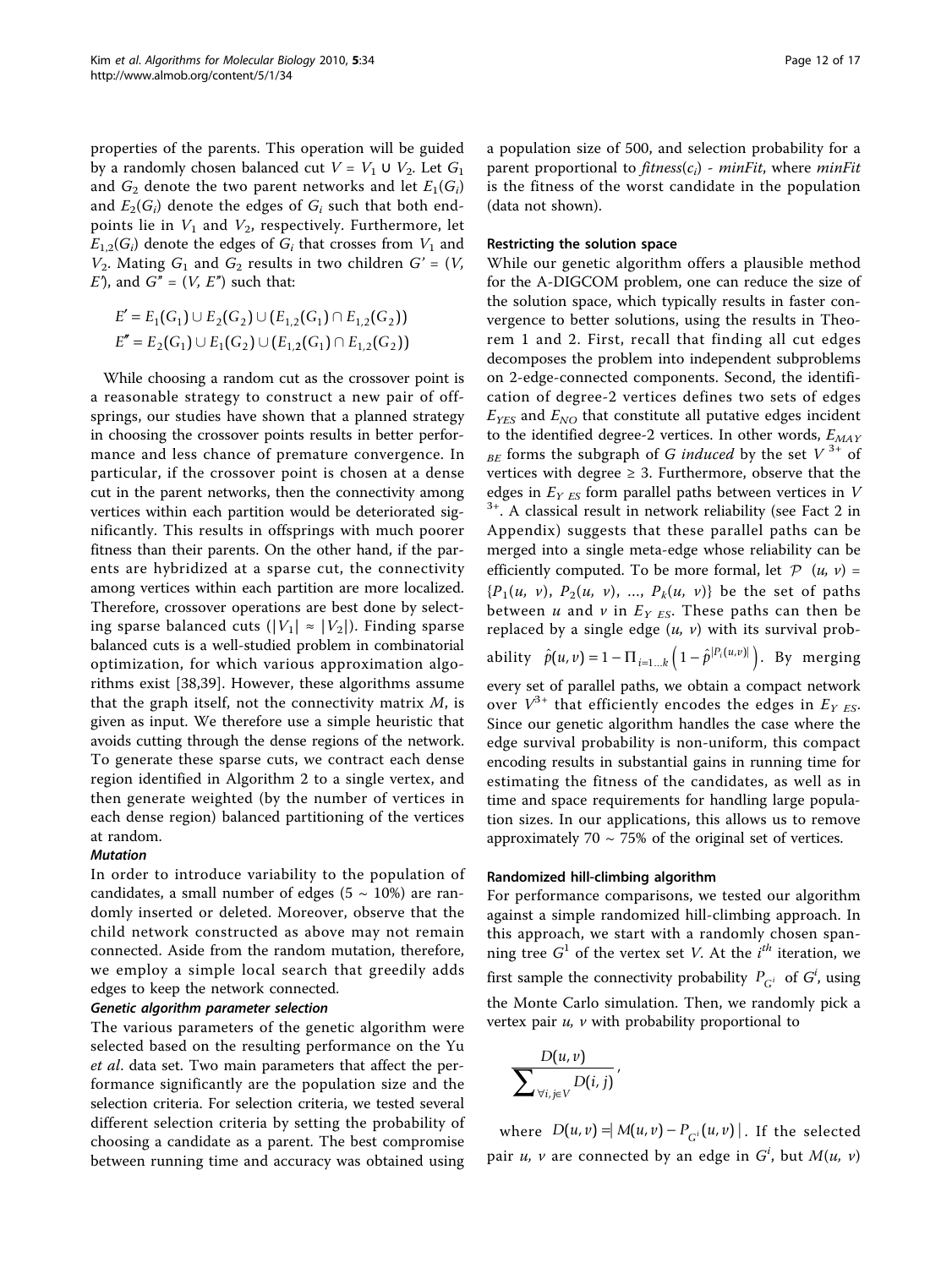properties of the parents. This operation will be guided by a randomly chosen balanced cut  $V = V_1 \cup V_2$ . Let  $G_1$ and  $G_2$  denote the two parent networks and let  $E_1(G_i)$ and  $E_2(G_i)$  denote the edges of  $G_i$  such that both endpoints lie in  $V_1$  and  $V_2$ , respectively. Furthermore, let  $E_{1,2}(G_i)$  denote the edges of  $G_i$  that crosses from  $V_1$  and  $V_2$ . Mating  $G_1$  and  $G_2$  results in two children  $G' = (V, V)$  $E'$ ), and  $G'' = (V, E'')$  such that:

$$
E' = E_1(G_1) \cup E_2(G_2) \cup (E_{1,2}(G_1) \cap E_{1,2}(G_2))
$$
  

$$
E'' = E_2(G_1) \cup E_1(G_2) \cup (E_{1,2}(G_1) \cap E_{1,2}(G_2))
$$

While choosing a random cut as the crossover point is a reasonable strategy to construct a new pair of offsprings, our studies have shown that a planned strategy in choosing the crossover points results in better performance and less chance of premature convergence. In particular, if the crossover point is chosen at a dense cut in the parent networks, then the connectivity among vertices within each partition would be deteriorated significantly. This results in offsprings with much poorer fitness than their parents. On the other hand, if the parents are hybridized at a sparse cut, the connectivity among vertices within each partition are more localized. Therefore, crossover operations are best done by selecting sparse balanced cuts ( $|V_1| \approx |V_2|$ ). Finding sparse balanced cuts is a well-studied problem in combinatorial optimization, for which various approximation algorithms exist [\[38](#page-16-0),[39\]](#page-16-0). However, these algorithms assume that the graph itself, not the connectivity matrix  $M$ , is given as input. We therefore use a simple heuristic that avoids cutting through the dense regions of the network. To generate these sparse cuts, we contract each dense region identified in Algorithm 2 to a single vertex, and then generate weighted (by the number of vertices in each dense region) balanced partitioning of the vertices at random.

#### Mutation

In order to introduce variability to the population of candidates, a small number of edges  $(5 \sim 10\%)$  are randomly inserted or deleted. Moreover, observe that the child network constructed as above may not remain connected. Aside from the random mutation, therefore, we employ a simple local search that greedily adds edges to keep the network connected.

#### Genetic algorithm parameter selection

The various parameters of the genetic algorithm were selected based on the resulting performance on the Yu et al. data set. Two main parameters that affect the performance significantly are the population size and the selection criteria. For selection criteria, we tested several different selection criteria by setting the probability of choosing a candidate as a parent. The best compromise between running time and accuracy was obtained using a population size of 500, and selection probability for a parent proportional to fitness $(c_i)$  - minFit, where minFit is the fitness of the worst candidate in the population (data not shown).

#### Restricting the solution space

While our genetic algorithm offers a plausible method for the A-DIGCOM problem, one can reduce the size of the solution space, which typically results in faster convergence to better solutions, using the results in Theorem 1 and 2. First, recall that finding all cut edges decomposes the problem into independent subproblems on 2-edge-connected components. Second, the identification of degree-2 vertices defines two sets of edges  $E_{YES}$  and  $E_{NO}$  that constitute all putative edges incident to the identified degree-2 vertices. In other words,  $E_{MAX}$  $_{BE}$  forms the subgraph of G induced by the set  $V^{3+}$  of vertices with degree  $\geq$  3. Furthermore, observe that the edges in  $E_{YES}$  form parallel paths between vertices in  $V$ <sup>3+</sup>. A classical result in network reliability (see Fact 2 in Appendix) suggests that these parallel paths can be merged into a single meta-edge whose reliability can be efficiently computed. To be more formal, let  $P(u, v) =$  ${P_1(u, v), P_2(u, v), ..., P_k(u, v)}$  be the set of paths between  $u$  and  $v$  in  $E_{Y}$   $_{ES}$ . These paths can then be replaced by a single edge  $(u, v)$  with its survival probability  $\hat{p}(u,v) = 1 - \prod_{i=1...k} \left( 1 - \hat{p}^{|P_i(u,v)|} \right)$ . By merging every set of parallel paths, we obtain a compact network over  $V^{3+}$  that efficiently encodes the edges in  $E_{YES}$ . Since our genetic algorithm handles the case where the edge survival probability is non-uniform, this compact encoding results in substantial gains in running time for estimating the fitness of the candidates, as well as in time and space requirements for handling large population sizes. In our applications, this allows us to remove approximately 70  $\sim$  75% of the original set of vertices.

#### Randomized hill-climbing algorithm

For performance comparisons, we tested our algorithm against a simple randomized hill-climbing approach. In this approach, we start with a randomly chosen spanning tree  $G^1$  of the vertex set V. At the  $i^{th}$  iteration, we first sample the connectivity probability  $P_{G^i}$  of  $G^i$ , using the Monte Carlo simulation. Then, we randomly pick a vertex pair  $u$ ,  $v$  with probability proportional to

$$
\frac{D(u,v)}{\sum_{\forall i,j\in V}D(i,j)},
$$

where  $D(u, v) = |M(u, v) - P_{\alpha} (u, v)|$ . If the selected pair *u*, *v* are connected by an edge in  $G^i$ , but  $M(u, v)$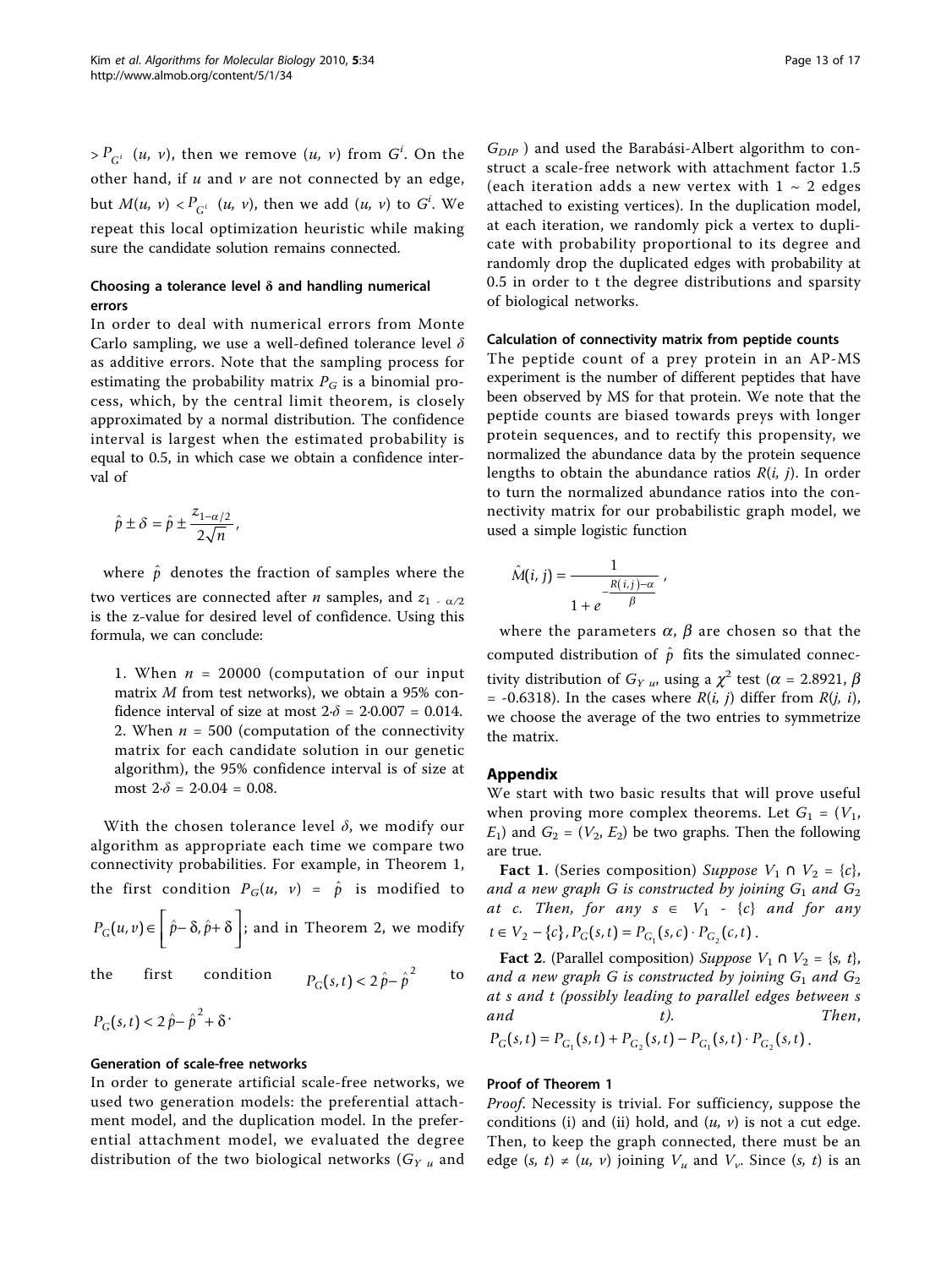$> P_{G^i}$  (*u*, *v*), then we remove (*u*, *v*) from  $G^i$ . On the other hand, if  $u$  and  $v$  are not connected by an edge, but  $M(u, v) < P_{G^i}$   $(u, v)$ , then we add  $(u, v)$  to  $G^i$ . We repeat this local optimization heuristic while making sure the candidate solution remains connected.

# Choosing a tolerance level  $\delta$  and handling numerical errors

In order to deal with numerical errors from Monte Carlo sampling, we use a well-defined tolerance level  $\delta$ as additive errors. Note that the sampling process for estimating the probability matrix  $P_G$  is a binomial process, which, by the central limit theorem, is closely approximated by a normal distribution. The confidence interval is largest when the estimated probability is equal to 0.5, in which case we obtain a confidence interval of

$$
\hat{p} \pm \delta = \hat{p} \pm \frac{z_{1-\alpha/2}}{2\sqrt{n}}\,,
$$

where  $\hat{p}$  denotes the fraction of samples where the two vertices are connected after *n* samples, and  $z_1$  -  $\alpha/2$ is the z-value for desired level of confidence. Using this formula, we can conclude:

1. When  $n = 20000$  (computation of our input matrix M from test networks), we obtain a 95% confidence interval of size at most  $2\delta = 2.0.007 = 0.014$ . 2. When  $n = 500$  (computation of the connectivity matrix for each candidate solution in our genetic algorithm), the 95% confidence interval is of size at most  $2\cdot\delta = 2\cdot 0.04 = 0.08$ .

With the chosen tolerance level  $\delta$ , we modify our algorithm as appropriate each time we compare two connectivity probabilities. For example, in Theorem 1, the first condition  $P_G(u, v) = \hat{p}$  is modified to

 $P_G(u, v) \in \left[ \hat{p} - \delta, \hat{p} + \delta \right]$ ; and in Theorem 2, we modify

the first condition  $P_G(s,t) < 2\,\hat{p}-\hat{p}^2$  to

$$
P_{G}(s,t) < 2\,\hat{p} - \hat{p}^{2} + \delta
$$

#### Generation of scale-free networks

In order to generate artificial scale-free networks, we used two generation models: the preferential attachment model, and the duplication model. In the preferential attachment model, we evaluated the degree distribution of the two biological networks ( $G_{Y|u}$  and

 $G_{DIP}$ ) and used the Barabási-Albert algorithm to construct a scale-free network with attachment factor 1.5 (each iteration adds a new vertex with  $1 \sim 2$  edges attached to existing vertices). In the duplication model, at each iteration, we randomly pick a vertex to duplicate with probability proportional to its degree and randomly drop the duplicated edges with probability at 0.5 in order to t the degree distributions and sparsity of biological networks.

#### Calculation of connectivity matrix from peptide counts

The peptide count of a prey protein in an AP-MS experiment is the number of different peptides that have been observed by MS for that protein. We note that the peptide counts are biased towards preys with longer protein sequences, and to rectify this propensity, we normalized the abundance data by the protein sequence lengths to obtain the abundance ratios  $R(i, j)$ . In order to turn the normalized abundance ratios into the connectivity matrix for our probabilistic graph model, we used a simple logistic function

$$
\hat{M}(i, j) = \frac{1}{1 + e^{-\frac{R(i, j) - \alpha}{\beta}}},
$$

where the parameters  $\alpha$ ,  $\beta$  are chosen so that the computed distribution of  $\hat{p}$  fits the simulated connectivity distribution of  $G_{Y,\omega}$ , using a  $\chi^2$  test ( $\alpha$  = 2.8921,  $\beta$ = -0.6318). In the cases where  $R(i, j)$  differ from  $R(j, i)$ , we choose the average of the two entries to symmetrize the matrix.

#### Appendix

We start with two basic results that will prove useful when proving more complex theorems. Let  $G_1 = (V_1, V_2)$  $E_1$ ) and  $G_2 = (V_2, E_2)$  be two graphs. Then the following are true.

Fact 1. (Series composition) Suppose  $V_1 \cap V_2 = \{c\},\$ and a new graph G is constructed by joining  $G_1$  and  $G_2$ at c. Then, for any  $s \in V_1$  - {c} and for any  $t \in V_2 - \{c\}, P_G(s, t) = P_{G_1}(s, c) \cdot P_{G_2}(c, t)$ .

**Fact 2.** (Parallel composition) Suppose  $V_1 \cap V_2 = \{s, t\}$ , and a new graph G is constructed by joining  $G_1$  and  $G_2$ at s and t (possibly leading to parallel edges between s and t). Then,  $P_G(s,t) = P_{G_1}(s,t) + P_{G_2}(s,t) - P_{G_1}(s,t) \cdot P_{G_2}(s,t)$ .

#### Proof of Theorem 1

Proof. Necessity is trivial. For sufficiency, suppose the conditions (i) and (ii) hold, and  $(u, v)$  is not a cut edge. Then, to keep the graph connected, there must be an edge  $(s, t) \neq (u, v)$  joining  $V_u$  and  $V_v$ . Since  $(s, t)$  is an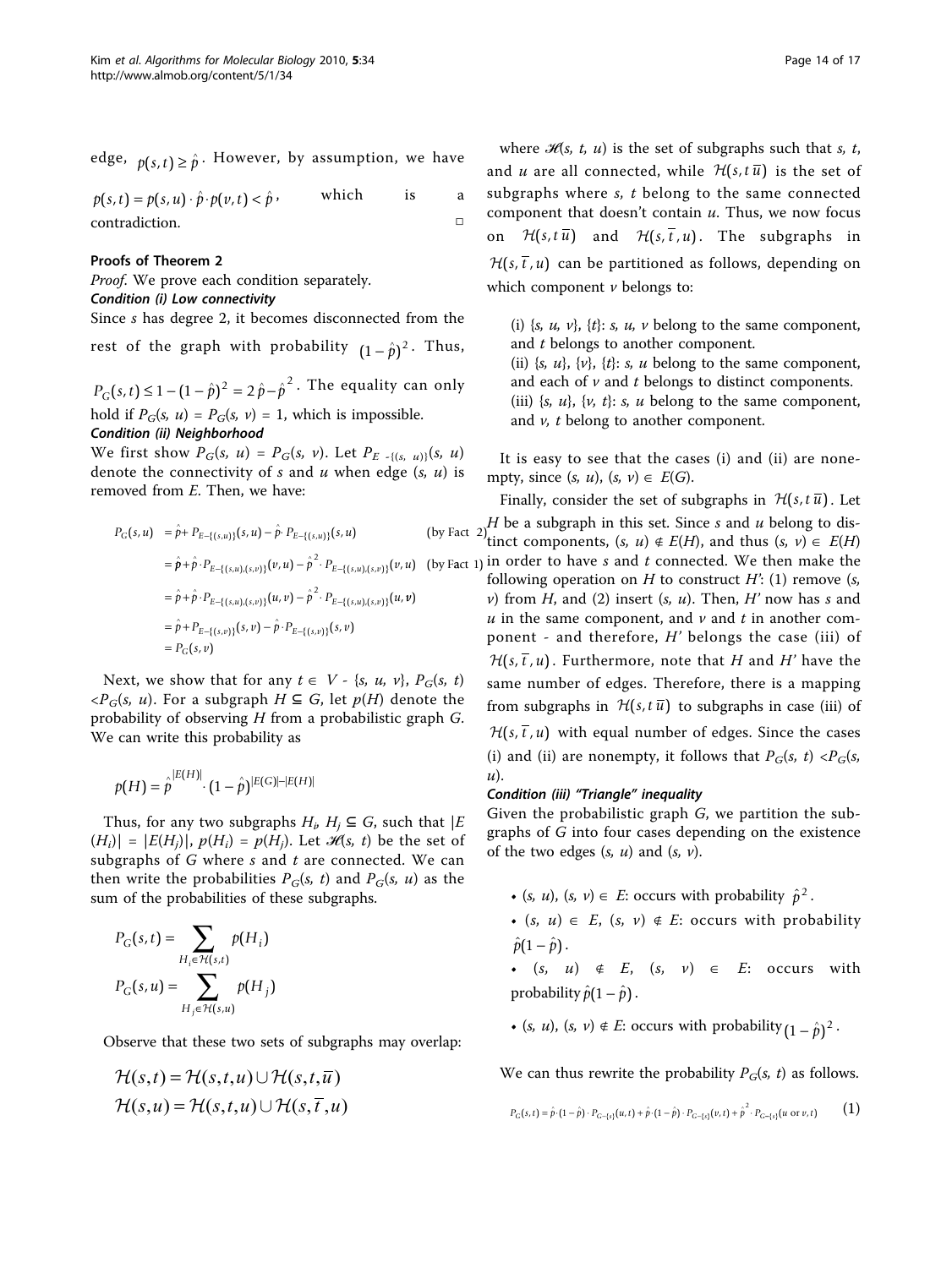edge,  $p(s,t) \geq \hat{p}$  . However, by assumption, we have

 $p(s,t) = p(s,u) \cdot \hat{p} \cdot p(v,t) < \hat{p}$ , which is a contradiction. □

#### Proofs of Theorem 2

Proof. We prove each condition separately.

Condition (i) Low connectivity

Since s has degree 2, it becomes disconnected from the

rest of the graph with probability  $(1 - \hat{p})^2$ . Thus,

*P<sub>G</sub>*(*s*,*t*) ≤ 1 –  $(1 - \hat{p})^2 = 2 \hat{p} - \hat{p}^2$ . The equality can only hold if  $P_G(s, u) = P_G(s, v) = 1$ , which is impossible.

Condition (ii) Neighborhood

We first show  $P_G(s, u) = P_G(s, v)$ . Let  $P_{E_{-}(\{s, u\})}(s, u)$ denote the connectivity of s and u when edge  $(s, u)$  is removed from E. Then, we have:

$$
P_G(s, u) = \hat{p} + P_{E-\{(s, u)\}}(s, u) - \hat{p} \cdot P_{E-\{(s, u)\}}(s, u)
$$
 (by Fact 2)  
\n
$$
= \hat{p} + \hat{p} \cdot P_{E-\{(s, u), (s, v)\}}(v, u) - \hat{p}^2 \cdot P_{E-\{(s, u), (s, v)\}}(v, u)
$$
 (by Fact 1)  
\n
$$
= \hat{p} + \hat{p} \cdot P_{E-\{(s, u), (s, v)\}}(u, v) - \hat{p}^2 \cdot P_{E-\{(s, u), (s, v)\}}(u, v)
$$
  
\n
$$
= \hat{p} + P_{E-\{(s, v)\}}(s, v) - \hat{p} \cdot P_{E-\{(s, v)\}}(s, v)
$$
  
\n
$$
= P_G(s, v)
$$

Next, we show that for any  $t \in V - \{s, u, v\}$ ,  $P_G(s, t)$  $\langle P_G(s, u) \rangle$ . For a subgraph  $H \subseteq G$ , let  $p(H)$  denote the probability of observing  $H$  from a probabilistic graph  $G$ . We can write this probability as

$$
p\big(H\big)=\overset{\wedge}{p}^{\big|E(H)\big|}\!\cdot\!\big(1-\overset{\wedge}{p}\big)^{\big|E\big(G\big)\big|-\big|E\big(H\big)\big|}
$$

Thus, for any two subgraphs  $H_i$ ,  $H_j \subseteq G$ , such that  $|E|$  $|H_i| = |E(H_i)|$ ,  $p(H_i) = p(H_i)$ . Let  $\mathcal{H}(s, t)$  be the set of subgraphs of  $G$  where  $s$  and  $t$  are connected. We can then write the probabilities  $P_G(s, t)$  and  $P_G(s, u)$  as the sum of the probabilities of these subgraphs.

$$
P_G(s,t) = \sum_{H_i \in \mathcal{H}(s,t)} p(H_i)
$$
  

$$
P_G(s,u) = \sum_{H_j \in \mathcal{H}(s,u)} p(H_j)
$$

Observe that these two sets of subgraphs may overlap:

$$
\mathcal{H}(s,t) = \mathcal{H}(s,t,u) \cup \mathcal{H}(s,t,\overline{u})
$$

$$
\mathcal{H}(s,u) = \mathcal{H}(s,t,u) \cup \mathcal{H}(s,\overline{t},u)
$$

where  $\mathcal{H}(s, t, u)$  is the set of subgraphs such that s, t, and *u* are all connected, while  $H(s, t\bar{u})$  is the set of subgraphs where  $s$ ,  $t$  belong to the same connected component that doesn't contain  $u$ . Thus, we now focus on  $\mathcal{H}(s, t\overline{u})$  and  $\mathcal{H}(s, \overline{t}, u)$ . The subgraphs in  $H(s, \overline{t}, u)$  can be partitioned as follows, depending on which component  $\nu$  belongs to:

(i)  $\{s, u, v\}$ ,  $\{t\}$ : s, u, v belong to the same component, and t belongs to another component.

(ii)  $\{s, u\}$ ,  $\{v\}$ ,  $\{t\}$ : s, u belong to the same component, and each of  $\nu$  and  $t$  belongs to distinct components. (iii)  $\{s, u\}$ ,  $\{v, t\}$ : s, u belong to the same component,

and  $v$ ,  $t$  belong to another component.

It is easy to see that the cases (i) and (ii) are nonempty, since  $(s, u)$ ,  $(s, v) \in E(G)$ .

<sub>)</sub> in order to have  $s$  and  $t$  connected. We then make the Finally, consider the set of subgraphs in  $\mathcal{H}(s, t\bar{u})$ . Let  $H$  be a subgraph in this set. Since s and u belong to distinct components,  $(s, u) \notin E(H)$ , and thus  $(s, v) \in E(H)$ following operation on  $H$  to construct  $H$ : (1) remove (s, v) from H, and (2) insert  $(s, u)$ . Then, H' now has s and  $u$  in the same component, and  $v$  and  $t$  in another component - and therefore,  $H'$  belongs the case (iii) of  $H(s, \bar{t}, u)$ . Furthermore, note that H and H' have the same number of edges. Therefore, there is a mapping from subgraphs in  $\mathcal{H}(s, t\bar{u})$  to subgraphs in case (iii) of  $H(s, \overline{t}, u)$  with equal number of edges. Since the cases (i) and (ii) are nonempty, it follows that  $P_G(s, t) < P_G(s, t)$  $u$ ).

#### Condition (iii) "Triangle" inequality

Given the probabilistic graph G, we partition the subgraphs of G into four cases depending on the existence of the two edges  $(s, u)$  and  $(s, v)$ .

- (s, u),  $(s, v) \in E$ : occurs with probability  $\hat{p}^2$ .
- $(s, u) \in E$ ,  $(s, v) \notin E$ : occurs with probability  $\hat{p}(1-\hat{p})$ .

•  $(s, u) \notin E$ ,  $(s, v) \in E$ : occurs with probability  $\hat{p}(1-\hat{p})$ .

• (s, u),  $(s, v) \notin E$ : occurs with probability  $(1 - \hat{p})^2$ .

We can thus rewrite the probability  $P_G(s, t)$  as follows.

$$
P_{G}(s,t) = \hat{p} \cdot (1-\hat{p}) \cdot P_{G-\{s\}}(u,t) + \hat{p} \cdot (1-\hat{p}) \cdot P_{G-\{s\}}(v,t) + \hat{p}^{2} \cdot P_{G-\{s\}}(u \text{ or } v,t)
$$
(1)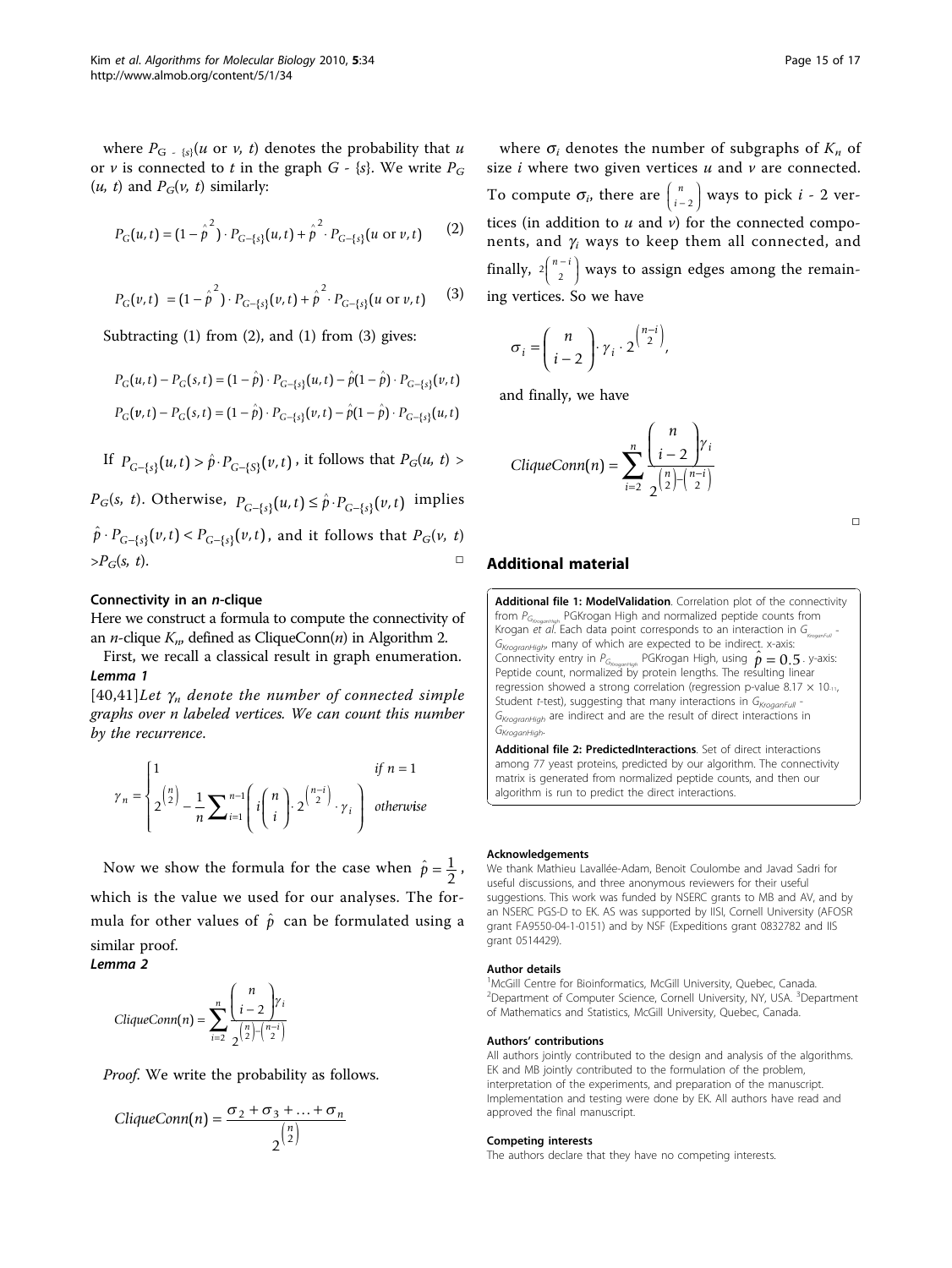<span id="page-14-0"></span>where  $P_{G-$ {s}(u or v, t) denotes the probability that u or v is connected to t in the graph  $G - \{s\}$ . We write  $P_G$  $(u, t)$  and  $P_G(v, t)$  similarly:

$$
P_G(u,t) = (1 - \hat{p}^2) \cdot P_{G-\{s\}}(u,t) + \hat{p}^2 \cdot P_{G-\{s\}}(u \text{ or } v,t)
$$
 (2)

$$
P_G(v,t) = (1 - \hat{p}^2) \cdot P_{G-\{s\}}(v,t) + \hat{p}^2 \cdot P_{G-\{s\}}(u \text{ or } v,t)
$$
 (3)

Subtracting  $(1)$  from  $(2)$ , and  $(1)$  from  $(3)$  gives:

$$
P_G(u, t) - P_G(s, t) = (1 - \hat{p}) \cdot P_{G - \{s\}}(u, t) - \hat{p}(1 - \hat{p}) \cdot P_{G - \{s\}}(v, t)
$$
  

$$
P_G(v, t) - P_G(s, t) = (1 - \hat{p}) \cdot P_{G - \{s\}}(v, t) - \hat{p}(1 - \hat{p}) \cdot P_{G - \{s\}}(u, t)
$$

If  $P_{G-\{s\}}(u,t) > \hat{p} \cdot P_{G-\{s\}}(v,t)$ , it follows that  $P_G(u,t) >$ 

 $P_G(s, t)$ . Otherwise,  $P_{G-\{s\}}(u, t) \leq \hat{p} \cdot P_{G-\{s\}}(v, t)$  implies  $\hat{p} \cdot P_{G-\{s\}}(v,t) < P_{G-\{s\}}(v,t)$ , and it follows that  $P_G(v,t)$  $\supset P_G(s, t).$ 

#### Connectivity in an n-clique

Here we construct a formula to compute the connectivity of an *n*-clique  $K_n$ , defined as CliqueConn(*n*) in Algorithm 2.

First, we recall a classical result in graph enumeration. Lemma 1

 $[40,41]$  $[40,41]$ Let  $\gamma_n$  denote the number of connected simple graphs over n labeled vertices. We can count this number by the recurrence.

$$
\gamma_n = \begin{cases} 1 & \text{if } n = 1 \\ 2^{\binom{n}{2}} - \frac{1}{n} \sum_{i=1}^{n-1} \left( i \binom{n}{i} \cdot 2^{\binom{n-i}{2}} \cdot \gamma_i \right) & \text{otherwise} \end{cases}
$$

Now we show the formula for the case when  $\hat{p} = \frac{1}{2}$ , which is the value we used for our analyses. The formula for other values of  $\hat{p}$  can be formulated using a similar proof.

#### Lemma 2

$$
CliqueConn(n) = \sum_{i=2}^{n} \frac{\binom{n}{i-2} \gamma_i}{\binom{n}{2} \binom{n-i}{2}}
$$

Proof. We write the probability as follows.

$$
CliqueConn(n) = \frac{\sigma_2 + \sigma_3 + \dots + \sigma_n}{2^{\binom{n}{2}}}
$$

where  $\sigma_i$  denotes the number of subgraphs of  $K_n$  of size *i* where two given vertices  $u$  and  $v$  are connected. To compute  $\sigma_i$ , there are  $\begin{pmatrix} n \\ i \end{pmatrix}$ ⎛  $\left(\begin{smallmatrix} n \ i-2 \end{smallmatrix}\right)$  ways to pick  $i$  - 2 vertices (in addition to  $u$  and  $v$ ) for the connected components, and  $\gamma_i$  ways to keep them all connected, and finally,  $2 \binom{n-i}{2}$  $\binom{n-i}{2}$  ways to assign edges among the remaining vertices. So we have

$$
\sigma_i = \left(\begin{array}{c} n \\ i-2 \end{array}\right) \cdot \gamma_i \cdot 2^{\left(\begin{array}{c} n-i \\ 2 \end{array}\right)},
$$

and finally, we have

$$
CliqueConn(n) = \sum_{i=2}^{n} \frac{\binom{n}{i-2} \gamma_i}{2^{\binom{n}{2} - \binom{n-i}{2}}}
$$

 $\Box$ 

# Additional material

[Additional file 1: M](http://www.biomedcentral.com/content/supplementary/1748-7188-5-34-S1.PDF)odelValidation. Correlation plot of the connectivity from  $P_G$  PGKrogan High and normalized peptide counts from Krogan et al. Each data point corresponds to an interaction in  $G_{\text{Ker}}$ G<sub>KrogranHigh</sub>, many of which are expected to be indirect. x-axis: Connectivity entry in  $P_{G_{\text{source}}}$  PGKrogan High, using  $\hat{b} = 0.5$ Connectivity entry in  $P_{G_{\text{Kogonality}}}$  PGKrogan High, using  $\hat{p} = 0.5$  . y-axis: Peptide count, normalized by protein lengths. The resulting linear regression showed a strong correlation (regression p-value 8.17  $\times$  10.11, Student t-test), suggesting that many interactions in  $G_{KroganFull}$  - $G_{KrogranHigh}$  are indirect and are the result of direct interactions in GKroganHigh.

[Additional file 2: P](http://www.biomedcentral.com/content/supplementary/1748-7188-5-34-S2.CSV)redictedInteractions. Set of direct interactions among 77 yeast proteins, predicted by our algorithm. The connectivity matrix is generated from normalized peptide counts, and then our algorithm is run to predict the direct interactions.

#### Acknowledgements

We thank Mathieu Lavallée-Adam, Benoit Coulombe and Javad Sadri for useful discussions, and three anonymous reviewers for their useful suggestions. This work was funded by NSERC grants to MB and AV, and by an NSERC PGS-D to EK. AS was supported by IISI, Cornell University (AFOSR grant FA9550-04-1-0151) and by NSF (Expeditions grant 0832782 and IIS grant 0514429).

#### Author details

<sup>1</sup>McGill Centre for Bioinformatics, McGill University, Quebec, Canada. <sup>2</sup>Department of Computer Science, Cornell University, NY, USA. <sup>3</sup>Department of Mathematics and Statistics, McGill University, Quebec, Canada.

#### Authors' contributions

All authors jointly contributed to the design and analysis of the algorithms. EK and MB jointly contributed to the formulation of the problem, interpretation of the experiments, and preparation of the manuscript. Implementation and testing were done by EK. All authors have read and approved the final manuscript.

#### Competing interests

The authors declare that they have no competing interests.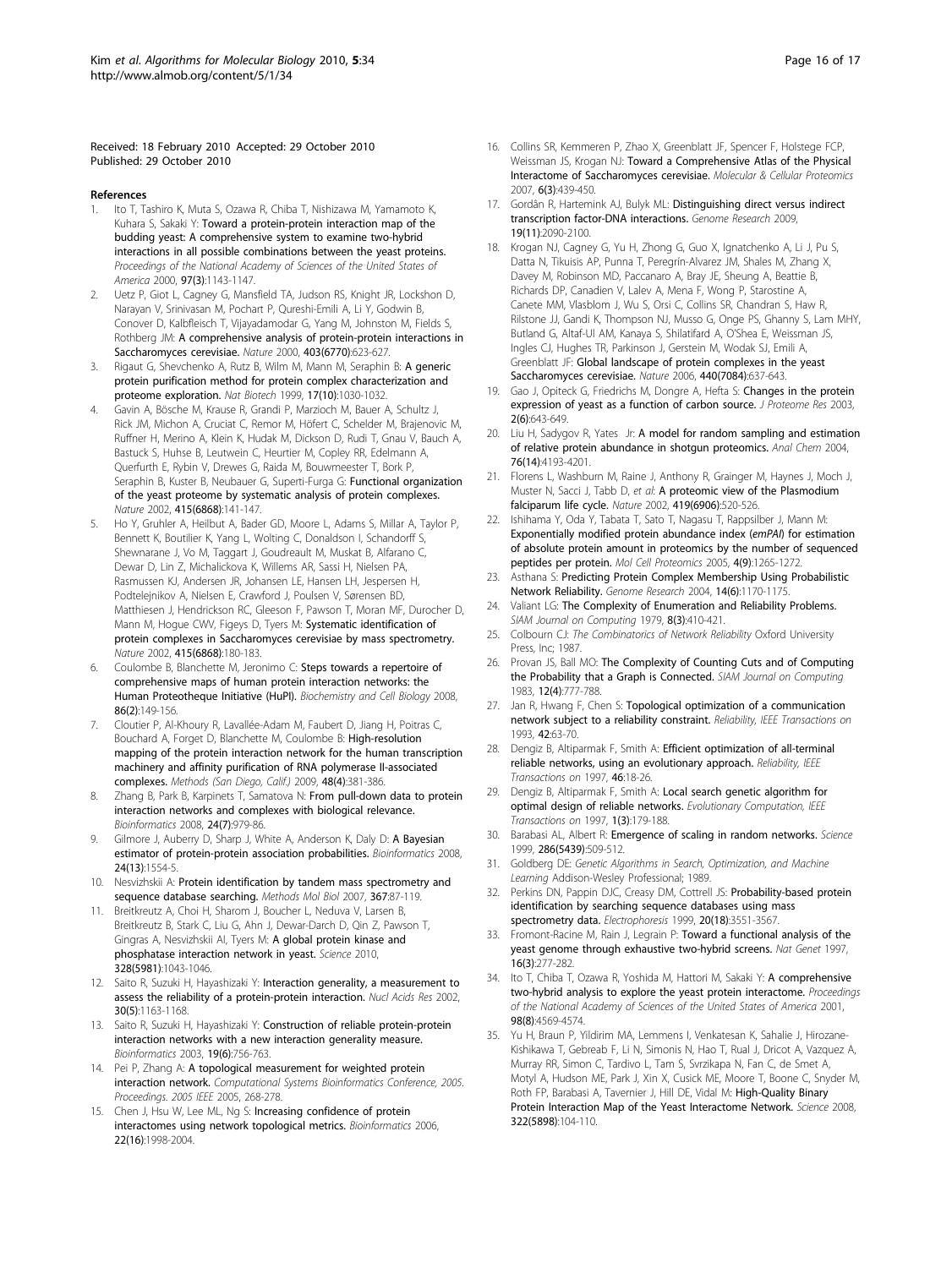<span id="page-15-0"></span>Received: 18 February 2010 Accepted: 29 October 2010 Published: 29 October 2010

#### References

- 1. Ito T, Tashiro K, Muta S, Ozawa R, Chiba T, Nishizawa M, Yamamoto K, Kuhara S, Sakaki Y: [Toward a protein-protein interaction map of the](http://www.ncbi.nlm.nih.gov/pubmed/10655498?dopt=Abstract) [budding yeast: A comprehensive system to examine two-hybrid](http://www.ncbi.nlm.nih.gov/pubmed/10655498?dopt=Abstract) [interactions in all possible combinations between the yeast proteins.](http://www.ncbi.nlm.nih.gov/pubmed/10655498?dopt=Abstract) Proceedings of the National Academy of Sciences of the United States of America 2000, 97(3):1143-1147.
- 2. Uetz P, Giot L, Cagney G, Mansfield TA, Judson RS, Knight JR, Lockshon D, Narayan V, Srinivasan M, Pochart P, Qureshi-Emili A, Li Y, Godwin B, Conover D, Kalbfleisch T, Vijayadamodar G, Yang M, Johnston M, Fields S, Rothberg JM: [A comprehensive analysis of protein-protein interactions in](http://www.ncbi.nlm.nih.gov/pubmed/10688190?dopt=Abstract) [Saccharomyces cerevisiae.](http://www.ncbi.nlm.nih.gov/pubmed/10688190?dopt=Abstract) Nature 2000, 403(6770):623-627.
- Rigaut G, Shevchenko A, Rutz B, Wilm M, Mann M, Seraphin B: A generic protein purification method for protein complex characterization and proteome exploration. Nat Biotech 1999, 17(10):1030-1032.
- 4. Gavin A, Bösche M, Krause R, Grandi P, Marzioch M, Bauer A, Schultz J, Rick JM, Michon A, Cruciat C, Remor M, Höfert C, Schelder M, Brajenovic M, Ruffner H, Merino A, Klein K, Hudak M, Dickson D, Rudi T, Gnau V, Bauch A, Bastuck S, Huhse B, Leutwein C, Heurtier M, Copley RR, Edelmann A, Querfurth E, Rybin V, Drewes G, Raida M, Bouwmeester T, Bork P, Seraphin B, Kuster B, Neubauer G, Superti-Furga G: [Functional organization](http://www.ncbi.nlm.nih.gov/pubmed/11805826?dopt=Abstract) [of the yeast proteome by systematic analysis of protein complexes.](http://www.ncbi.nlm.nih.gov/pubmed/11805826?dopt=Abstract) Nature 2002, 415(6868):141-147.
- 5. Ho Y, Gruhler A, Heilbut A, Bader GD, Moore L, Adams S, Millar A, Taylor P, Bennett K, Boutilier K, Yang L, Wolting C, Donaldson I, Schandorff S, Shewnarane J, Vo M, Taggart J, Goudreault M, Muskat B, Alfarano C, Dewar D, Lin Z, Michalickova K, Willems AR, Sassi H, Nielsen PA, Rasmussen KJ, Andersen JR, Johansen LE, Hansen LH, Jespersen H, Podtelejnikov A, Nielsen E, Crawford J, Poulsen V, Sørensen BD, Matthiesen J, Hendrickson RC, Gleeson F, Pawson T, Moran MF, Durocher D, Mann M, Hogue CWV, Figeys D, Tyers M: [Systematic identification of](http://www.ncbi.nlm.nih.gov/pubmed/11805837?dopt=Abstract) [protein complexes in Saccharomyces cerevisiae by mass spectrometry.](http://www.ncbi.nlm.nih.gov/pubmed/11805837?dopt=Abstract) Nature 2002, 415(6868):180-183.
- Coulombe B, Blanchette M, Jeronimo C: [Steps towards a repertoire of](http://www.ncbi.nlm.nih.gov/pubmed/18443628?dopt=Abstract) [comprehensive maps of human protein interaction networks: the](http://www.ncbi.nlm.nih.gov/pubmed/18443628?dopt=Abstract) [Human Proteotheque Initiative \(HuPI\).](http://www.ncbi.nlm.nih.gov/pubmed/18443628?dopt=Abstract) Biochemistry and Cell Biology 2008, 86(2):149-156.
- 7. Cloutier P, Al-Khoury R, Lavallée-Adam M, Faubert D, Jiang H, Poitras C, Bouchard A, Forget D, Blanchette M, Coulombe B: [High-resolution](http://www.ncbi.nlm.nih.gov/pubmed/19450687?dopt=Abstract) [mapping of the protein interaction network for the human transcription](http://www.ncbi.nlm.nih.gov/pubmed/19450687?dopt=Abstract) [machinery and affinity purification of RNA polymerase II-associated](http://www.ncbi.nlm.nih.gov/pubmed/19450687?dopt=Abstract) [complexes.](http://www.ncbi.nlm.nih.gov/pubmed/19450687?dopt=Abstract) Methods (San Diego, Calif.) 2009, 48(4):381-386.
- 8. Zhang B, Park B, Karpinets T, Samatova N: [From pull-down data to protein](http://www.ncbi.nlm.nih.gov/pubmed/18304937?dopt=Abstract) [interaction networks and complexes with biological relevance.](http://www.ncbi.nlm.nih.gov/pubmed/18304937?dopt=Abstract) Bioinformatics 2008, 24(7):979-86.
- Gilmore J, Auberry D, Sharp J, White A, Anderson K, Daly D: [A Bayesian](http://www.ncbi.nlm.nih.gov/pubmed/18499697?dopt=Abstract) [estimator of protein-protein association probabilities.](http://www.ncbi.nlm.nih.gov/pubmed/18499697?dopt=Abstract) Bioinformatics 2008, 24(13):1554-5.
- 10. Nesvizhskii A: [Protein identification by tandem mass spectrometry and](http://www.ncbi.nlm.nih.gov/pubmed/17185772?dopt=Abstract) [sequence database searching.](http://www.ncbi.nlm.nih.gov/pubmed/17185772?dopt=Abstract) Methods Mol Biol 2007, 367:87-119.
- 11. Breitkreutz A, Choi H, Sharom J, Boucher L, Neduva V, Larsen B, Breitkreutz B, Stark C, Liu G, Ahn J, Dewar-Darch D, Qin Z, Pawson T, Gingras A, Nesvizhskii AI, Tyers M: [A global protein kinase and](http://www.ncbi.nlm.nih.gov/pubmed/20489023?dopt=Abstract) [phosphatase interaction network in yeast.](http://www.ncbi.nlm.nih.gov/pubmed/20489023?dopt=Abstract) Science 2010, 328(5981):1043-1046.
- 12. Saito R, Suzuki H, Hayashizaki Y: [Interaction generality, a measurement to](http://www.ncbi.nlm.nih.gov/pubmed/11861907?dopt=Abstract) [assess the reliability of a protein-protein interaction.](http://www.ncbi.nlm.nih.gov/pubmed/11861907?dopt=Abstract) Nucl Acids Res 2002, 30(5):1163-1168.
- 13. Saito R, Suzuki H, Hayashizaki Y: [Construction of reliable protein-protein](http://www.ncbi.nlm.nih.gov/pubmed/12691988?dopt=Abstract) [interaction networks with a new interaction generality measure.](http://www.ncbi.nlm.nih.gov/pubmed/12691988?dopt=Abstract) Bioinformatics 2003, 19(6):756-763.
- 14. Pei P, Zhang A: A topological measurement for weighted protein interaction network. Computational Systems Bioinformatics Conference, 2005. Proceedings. 2005 IEEE 2005, 268-278.
- 15. Chen J, Hsu W, Lee ML, Ng S: [Increasing confidence of protein](http://www.ncbi.nlm.nih.gov/pubmed/16787971?dopt=Abstract) [interactomes using network topological metrics.](http://www.ncbi.nlm.nih.gov/pubmed/16787971?dopt=Abstract) Bioinformatics 2006, 22(16):1998-2004.
- 16. Collins SR, Kemmeren P, Zhao X, Greenblatt JF, Spencer F, Holstege FCP, Weissman JS, Krogan NJ: Toward a Comprehensive Atlas of the Physical Interactome of Saccharomyces cerevisiae. Molecular & Cellular Proteomics 2007, 6(3):439-450.
- 17. Gordân R, Hartemink AJ, Bulyk ML: [Distinguishing direct versus indirect](http://www.ncbi.nlm.nih.gov/pubmed/19652015?dopt=Abstract) [transcription factor-DNA interactions.](http://www.ncbi.nlm.nih.gov/pubmed/19652015?dopt=Abstract) Genome Research 2009, 19(11):2090-2100.
- 18. Krogan NJ, Cagney G, Yu H, Zhong G, Guo X, Ignatchenko A, Li J, Pu S, Datta N, Tikuisis AP, Punna T, Peregrín-Alvarez JM, Shales M, Zhang X, Davey M, Robinson MD, Paccanaro A, Bray JE, Sheung A, Beattie B, Richards DP, Canadien V, Lalev A, Mena F, Wong P, Starostine A, Canete MM, Vlasblom J, Wu S, Orsi C, Collins SR, Chandran S, Haw R, Rilstone JJ, Gandi K, Thompson NJ, Musso G, Onge PS, Ghanny S, Lam MHY, Butland G, Altaf-Ul AM, Kanaya S, Shilatifard A, O'Shea E, Weissman JS, Ingles CJ, Hughes TR, Parkinson J, Gerstein M, Wodak SJ, Emili A, Greenblatt JF: [Global landscape of protein complexes in the yeast](http://www.ncbi.nlm.nih.gov/pubmed/16554755?dopt=Abstract) [Saccharomyces cerevisiae.](http://www.ncbi.nlm.nih.gov/pubmed/16554755?dopt=Abstract) Nature 2006, 440(7084):637-643.
- 19. Gao J, Opiteck G, Friedrichs M, Dongre A, Hefta S: [Changes in the protein](http://www.ncbi.nlm.nih.gov/pubmed/14692458?dopt=Abstract) [expression of yeast as a function of carbon source.](http://www.ncbi.nlm.nih.gov/pubmed/14692458?dopt=Abstract) J Proteome Res 2003, 2(6):643-649.
- 20. Liu H, Sadygov R, Yates Jr: [A model for random sampling and estimation](http://www.ncbi.nlm.nih.gov/pubmed/15253663?dopt=Abstract) [of relative protein abundance in shotgun proteomics.](http://www.ncbi.nlm.nih.gov/pubmed/15253663?dopt=Abstract) Anal Chem 2004, 76(14):4193-4201.
- 21. Florens L, Washburn M, Raine J, Anthony R, Grainger M, Haynes J, Moch J, Muster N, Sacci J, Tabb D, et al: [A proteomic view of the Plasmodium](http://www.ncbi.nlm.nih.gov/pubmed/12368866?dopt=Abstract) [falciparum life cycle.](http://www.ncbi.nlm.nih.gov/pubmed/12368866?dopt=Abstract) Nature 2002, 419(6906):520-526.
- 22. Ishihama Y, Oda Y, Tabata T, Sato T, Nagasu T, Rappsilber J, Mann M: [Exponentially modified protein abundance index \(](http://www.ncbi.nlm.nih.gov/pubmed/15958392?dopt=Abstract)emPAI) for estimation [of absolute protein amount in proteomics by the number of sequenced](http://www.ncbi.nlm.nih.gov/pubmed/15958392?dopt=Abstract) [peptides per protein.](http://www.ncbi.nlm.nih.gov/pubmed/15958392?dopt=Abstract) Mol Cell Proteomics 2005, 4(9):1265-1272.
- 23. Asthana S: [Predicting Protein Complex Membership Using Probabilistic](http://www.ncbi.nlm.nih.gov/pubmed/15140827?dopt=Abstract) [Network Reliability.](http://www.ncbi.nlm.nih.gov/pubmed/15140827?dopt=Abstract) Genome Research 2004, 14(6):1170-1175.
- 24. Valiant LG: The Complexity of Enumeration and Reliability Problems. SIAM Journal on Computing 1979, 8(3):410-421.
- 25. Colbourn CJ: The Combinatorics of Network Reliability Oxford University Press, Inc; 1987.
- 26. Provan JS, Ball MO: The Complexity of Counting Cuts and of Computing the Probability that a Graph is Connected. SIAM Journal on Computing 1983, 12(4):777-788.
- 27. Jan R, Hwang F, Chen S: Topological optimization of a communication network subject to a reliability constraint. Reliability, IEEE Transactions on 1993, 42:63-70.
- 28. Dengiz B, Altiparmak F, Smith A: Efficient optimization of all-terminal reliable networks, using an evolutionary approach. Reliability, IEEE Transactions on 1997, 46:18-26.
- 29. Dengiz B, Altiparmak F, Smith A: Local search genetic algorithm for optimal design of reliable networks. Evolutionary Computation, IEEE Transactions on 1997, 1(3):179-188.
- Barabasi AL, Albert R: [Emergence of scaling in random networks.](http://www.ncbi.nlm.nih.gov/pubmed/10521342?dopt=Abstract) Science 1999, 286(5439):509-512.
- 31. Goldberg DE: Genetic Algorithms in Search, Optimization, and Machine Learning Addison-Wesley Professional; 1989.
- 32. Perkins DN, Pappin DJC, Creasy DM, Cottrell JS: [Probability-based protein](http://www.ncbi.nlm.nih.gov/pubmed/10612281?dopt=Abstract) [identification by searching sequence databases using mass](http://www.ncbi.nlm.nih.gov/pubmed/10612281?dopt=Abstract) [spectrometry data.](http://www.ncbi.nlm.nih.gov/pubmed/10612281?dopt=Abstract) Electrophoresis 1999, 20(18):3551-3567.
- 33. Fromont-Racine M, Rain J, Legrain P: [Toward a functional analysis of the](http://www.ncbi.nlm.nih.gov/pubmed/9207794?dopt=Abstract) [yeast genome through exhaustive two-hybrid screens.](http://www.ncbi.nlm.nih.gov/pubmed/9207794?dopt=Abstract) Nat Genet 1997, 16(3):277-282.
- 34. Ito T, Chiba T, Ozawa R, Yoshida M, Hattori M, Sakaki Y: [A comprehensive](http://www.ncbi.nlm.nih.gov/pubmed/11283351?dopt=Abstract) [two-hybrid analysis to explore the yeast protein interactome.](http://www.ncbi.nlm.nih.gov/pubmed/11283351?dopt=Abstract) Proceedings of the National Academy of Sciences of the United States of America 2001, 98(8):4569-4574.
- 35. Yu H, Braun P, Yildirim MA, Lemmens I, Venkatesan K, Sahalie J, Hirozane-Kishikawa T, Gebreab F, Li N, Simonis N, Hao T, Rual J, Dricot A, Vazquez A, Murray RR, Simon C, Tardivo L, Tam S, Svrzikapa N, Fan C, de Smet A, Motyl A, Hudson ME, Park J, Xin X, Cusick ME, Moore T, Boone C, Snyder M, Roth FP, Barabasi A, Tavernier J, Hill DE, Vidal M: [High-Quality Binary](http://www.ncbi.nlm.nih.gov/pubmed/18719252?dopt=Abstract) [Protein Interaction Map of the Yeast Interactome Network.](http://www.ncbi.nlm.nih.gov/pubmed/18719252?dopt=Abstract) Science 2008, 322(5898):104-110.